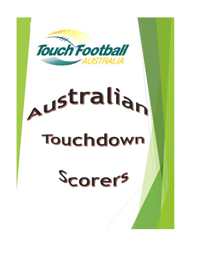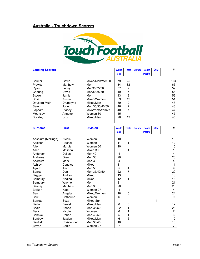## **Australia - Touchdown Scorers**



| <b>Leading Scorers</b> |          |                 | <b>World</b> | <b>Tests</b>   | <b>Europe</b> | <b>South</b>   | <b>OIM</b> | #   |
|------------------------|----------|-----------------|--------------|----------------|---------------|----------------|------------|-----|
|                        |          |                 | Cup          |                |               | <b>Pacific</b> |            |     |
|                        |          |                 |              |                |               |                |            |     |
| Shuker                 | Gavin    | Mixed/Men/Men30 | 79           | 25             |               |                |            | 104 |
| Prowse                 | Matthew  | Men             | 34           | 32             |               |                |            | 66  |
| Ryan                   | Lenny    | Men30/35/50     | 57           | 2              |               |                |            | 59  |
| Cheung                 | David    | Men30/35/50     | 49           |                |               |                |            | 56  |
| Stowe                  | Jamie    | Men             | 43           | 9              |               |                |            | 52  |
| <b>Boss</b>            | Kristin  | Mixed/Women     | 39           | 12             |               |                |            | 51  |
| Dayberg-Muir           | Drumayne | Mixed/Men       | 39           | 9              |               |                |            | 48  |
| Samin                  | John     | Men 35/30/40/50 | 46           | $\overline{2}$ |               |                |            | 48  |
| Lapham                 | Stacey   | Mix/Wom/Wom27   | 40           | 7              |               |                |            | 47  |
| Mounsey                | Annette  | Women 30        | 45           |                |               |                |            | 45  |
| <b>Buckley</b>         | Scott    | Mixed/Men       | 26           | 19             |               |                |            | 45  |
|                        |          |                 |              |                |               |                |            |     |

| <b>Surname</b>   | <b>First</b> | <b>Division</b>  | <b>World</b> | <b>Tests</b>   | <b>Europe</b> | <b>South</b>   | <b>OIM</b> | #              |
|------------------|--------------|------------------|--------------|----------------|---------------|----------------|------------|----------------|
|                  |              |                  | Cup          |                |               | <b>Pacific</b> |            |                |
|                  |              |                  |              |                |               |                |            |                |
| Absolum (McHugh) | Nicole       | Women            | 10           |                |               |                |            | 10             |
| Addison          | Rachel       | Women            | 11           | 1              |               |                |            | 12             |
| Allen            | Margie       | Women 30         | 10           |                |               |                |            | 10             |
| Allen            | Melinda      | Mixed 30         |              | 1              |               |                |            | 1              |
| Anderson         | Dallas       | Men 40           | 4            |                |               |                |            | 4              |
| Andrews          | Glen         | <b>Men 30</b>    | 20           |                |               |                |            | 20             |
| Andrews          | Mark         | Men 30           | 4            |                |               |                |            | 4              |
| Ashley           | Candice      | Mixed            | 11           |                |               |                |            | 11             |
| Ayoub            | Amir         | <b>Men 50</b>    | 5            | 4              |               |                |            | 9              |
| <b>Baartz</b>    | Don          | Men 35/40/50     | 22           | $\overline{7}$ |               |                |            | 29             |
| Baggio           | Andrew       | Mixed            | 13           |                |               |                |            | 13             |
| Bambury          | Nadina       | Mixed            | 12           | 1              |               |                |            | 13             |
| Bambury          | Wayne        | Men              | 21           |                |               |                |            | 21             |
| Barclay          | Matthew      | Men 30           | 20           |                |               |                |            | 20             |
| <b>Barker</b>    | Kate         | Women 27         | 4            |                |               |                |            | 4              |
| Barr             | Angela       | Mixed/Women      | 18           | 6              |               |                |            | 24             |
| Barr             | Catherine    | Women            | 6            | 3              |               |                |            | 9              |
| <b>Barrett</b>   | Suzy         | <b>Mixed Snr</b> |              |                |               |                | 1          |                |
| Barton           | Daniel       | Mixed/Men        | 6            | 6              |               |                |            | 12             |
| Beale            | Shane        | Men 35/50        | 22           | 1              |               |                |            | 23             |
| <b>Beck</b>      | Nicole       | Women            | 6            |                |               |                |            | 7              |
| <b>Behnke</b>    | Robert       | Men 40/50        | 5            |                |               |                |            | 6              |
| <b>Benbow</b>    | Jayden       | Mixed/Men        | 6            | 6              |               |                |            | 12             |
| <b>Benfield</b>  | Christopher  | Men 30/40        | 10           |                |               |                |            | 10             |
| Bevan            | Carlie       | Women 27         | 7            |                |               |                |            | $\overline{7}$ |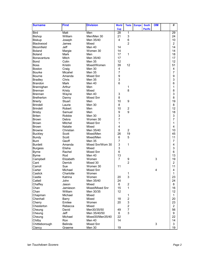| <b>Surname</b>    | <b>First</b>   | <b>Division</b>  | <b>World</b>   | <b>Tests</b>   | <b>Europe</b> | <b>South</b>   | <b>OIM</b> | #               |
|-------------------|----------------|------------------|----------------|----------------|---------------|----------------|------------|-----------------|
|                   |                |                  | <b>Cup</b>     |                |               | <b>Pacific</b> |            |                 |
| <b>Bird</b>       | Matt           | Men              | 28             | 1              |               |                |            | $\overline{29}$ |
| <b>Bishop</b>     | William        | Men/Men 30       | 21             | 3              |               |                |            | 24              |
| <b>Biskup</b>     | Joseph         | Men 35/40        | 4              | 6              |               |                |            | 10              |
| Blackwood         | James          | Mixed            |                | $\overline{2}$ |               |                |            | $\overline{2}$  |
| Bloomfield        | <b>Jeff</b>    | Men 40           | 14             |                |               |                |            | 14              |
| <b>Boland</b>     | Margie         | Women 30         | 14             |                |               |                |            | 14              |
| <b>Boland</b>     | <b>Mark</b>    | Men              | 17             | 1              |               |                |            | 18              |
| Bonavantura       | Mitch          | Men 35/40        | 17             |                |               |                |            | 17              |
| <b>Bond</b>       | Colin          | <b>Men 35</b>    | 12             |                |               |                |            | 12              |
| <b>Boss</b>       | Kristin        | Mixed/Women      | 39             | 12             |               |                |            | 51              |
| Boston            | Craig          | Men 30           | 4              |                |               |                |            | 4               |
| <b>Bourke</b>     | Micahel        | <b>Men 35</b>    | 7              |                |               |                |            | 7               |
| <b>Bourne</b>     | Amanda         | Mixed Snr        | 9              |                |               |                |            | 9               |
| <b>Bradley</b>    | Chris          | Men 35           | 3              |                |               |                |            | 3               |
| <b>Brandon</b>    | Mark           | Men 40           | $6\phantom{1}$ |                |               |                |            | 6               |
| Brannighan        | Arthur         | Men              |                | 1              |               |                |            | 1               |
| Brennan           | Kristy         | Mixed            |                | 8              |               |                |            | 8               |
| Brennan           | Wayne          | Men 40           | 3              |                |               |                |            | 3               |
| <b>Bretherton</b> | Danny          | Mixed Snr        | 8              |                |               |                |            | 8               |
| <b>Brierty</b>    | Stuart         | Men              | 10             | 9              |               |                |            | 19              |
| <b>Brindell</b>   | Laurie         | Men 30           | 8              |                |               |                |            | 8               |
| <b>Brindell</b>   | Robert         | Men              | 10             | $\overline{c}$ |               |                |            | 12              |
| <b>Brisby</b>     | Samuel         | Men              | 9              | 9              |               |                |            | 18              |
| <b>Briten</b>     | Robbie         | Men 30           | 3              |                |               |                |            | 3               |
| <b>Brown</b>      | Debra          | Women 30         | $\overline{7}$ |                |               |                |            | $\overline{7}$  |
| <b>Brown</b>      | Mitchel        | Mixed Snr        | $\mathbf{1}$   |                |               |                |            | 1               |
| <b>Brown</b>      | <b>Natalie</b> | Mixed            | 4              |                |               |                |            | 4               |
| <b>Browne</b>     | Christian      | Men 35/40        | 8              | $\overline{c}$ |               |                |            | 10              |
| <b>Buckley</b>    | Scott          | Mixed/Men        | 26             | 19             |               |                |            | 45              |
| Bundy             | Scott          | Mixed/Men        | 6              | 5              |               |                |            | 11              |
| <b>Bunt</b>       | Geoff          | <b>Men 35</b>    | 7              |                |               |                |            | $\overline{7}$  |
| <b>Burdett</b>    | Amanda         | Mixed Snr/Wom 30 | 3              | 1              |               |                |            | 4               |
| <b>Burgess</b>    | Elisha         | Mixed            | 3              |                |               |                |            | 3               |
| <b>Byrne</b>      | Rachel         | <b>Mixed Snr</b> | 6              |                |               |                |            | 6               |
| <b>Byrne</b>      | Rod            | Men 40           | 13             |                |               |                |            | 13              |
| Campbell          | Elizabeth      | Women            | $\overline{7}$ | 9              |               |                | 3          | 19              |
| Cant              | <b>Derrick</b> | Mixed 30         |                | $\overline{2}$ |               |                |            | 2               |
| Carroll           | Sue            | Women 30         | 11             |                |               |                |            | 11              |
| Carter            | Michael        | Mixed Snr        |                |                |               |                | 4          | 4               |
| Caslick           | Charlotte      | Women            |                | 1              |               |                |            | 1               |
| Castle            | Katrina        | Women            | 20             | 3              |               |                |            | 23              |
| Cattell           | John           | Men 35/40        | 24             |                |               |                |            | 24              |
| Chaffey           | Jason          | Mixed            | 6              | $\overline{c}$ |               |                |            | 8               |
| Chan              | Jamieson       | Mixed/Mixed Snr  | 15             | 1              |               |                |            | 16              |
| Chan              | William        | Men 30/35        | 12             |                |               |                |            | 12              |
| Chapman           | Michael        | Mixed            |                | 1              |               |                |            | $\mathbf{1}$    |
| Chenhall          | Barry          | Mixed            | 18             | $\overline{2}$ |               |                |            | 20              |
| Cherry            | Emilee         | Women            | 20             | 3              |               |                |            | 23              |
| Chesterton        | Rebecca        | Mixed            |                | $\overline{c}$ |               |                |            | $\overline{2}$  |
| Cheung            | David          | Men30/35/50      | 49             | $\overline{7}$ |               |                |            | 56              |
| Cheung            | Jeff           | Men 35/40/50     | 6              | 3              |               |                |            | 9               |
| Cheung            | Michael        | Mixed30/Men35/40 | 22             |                |               |                |            | 22              |
| Chilby            | Ron            | Men 40           | 14             |                |               |                |            | 14              |
| Chittleborough    | Belinda        | Mixed Snr        |                |                |               |                | 3          | 3               |
| Clancy            | Graeme         | Men 30           | 19             |                |               |                |            | 19              |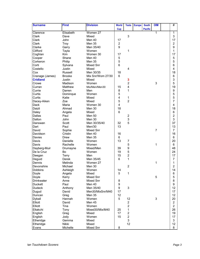| <b>Surname</b>    | <b>First</b>  | <b>Division</b>   | <b>World</b>   | <b>Tests</b>            | <b>Europe</b> | <b>South</b>   | <b>OIM</b>     | #                       |
|-------------------|---------------|-------------------|----------------|-------------------------|---------------|----------------|----------------|-------------------------|
|                   |               |                   | <b>Cup</b>     |                         |               | <b>Pacific</b> |                |                         |
| Clarence          | Elisabeth     | Women 27          |                |                         |               |                | 1              | 1                       |
| Clark             | Dave          | Mixed             |                | 3                       |               |                |                | 3                       |
| Clark             | John          | Men 40            | 17             |                         |               |                |                | 17                      |
| Clark             | Troy          | Men 35            | $\overline{c}$ |                         |               |                |                | $\overline{\mathbf{c}}$ |
| Clarke            | Garry         | Men 35/40         | 9              |                         |               |                |                | 9                       |
| Clifford          | Tayla         | Women             |                | 1                       |               |                |                | 1                       |
| Coghlan           | <b>Kim</b>    | Women 30          | 17             |                         |               |                |                | 17                      |
| Cooper            | Shane         | Men 40            | 5              |                         |               |                |                | 5                       |
| Corkeron          | Philip        | Men 35            | 5              |                         |               |                |                | 5                       |
| Corti             | Sylvana       | Mixed Snr         | $6\phantom{1}$ |                         |               |                |                | 6                       |
| Costello          | Justin        | Mixed             |                | $\overline{4}$          |               |                |                | 4                       |
| Cox               | Russell       | Men 30/35         | 18             |                         |               |                |                | 18                      |
| Cranage (James)   | <b>Brooke</b> | Mix Snr/Wom 27/30 | 6              |                         |               |                |                | 6                       |
| <b>Cridland</b>   | Justin        | Mixed             |                | 3                       |               |                |                | 3                       |
| Crowe             | Madison       | Women             |                | $\overline{c}$          |               |                | 3              | 5                       |
| Curran            | Matthew       | Mix/Men/Men30     | 15             | $\overline{4}$          |               |                |                | 19                      |
| Currie            | Darren        | Men               | 8              | 1                       |               |                |                | 9                       |
| Curtis            | Dominque      | Women             | 5              |                         |               |                |                | 5                       |
| Curtis            | Katie         | Mixed             | 4              | 1                       |               |                |                | 5                       |
| Dacey-Aiken       | Zoe           | Mixed             | 5              | $\overline{2}$          |               |                |                | 7                       |
| Dack              | Maria         | Women 30          | 4              |                         |               |                |                | 4                       |
| Daizli            | Ahmad         | Men 30            | 18             |                         |               |                |                | 18                      |
| Daley             | Angela        | Mixed             | 6              |                         |               |                |                | 6                       |
| Dallas            | Paul          | <b>Men 50</b>     |                | $\overline{\mathbf{c}}$ |               |                |                | $\overline{c}$          |
| Dalton            | John          | Men 30            |                | 3                       |               |                |                | 3                       |
| Danswan           | Scott         | Men 30/35/40      | 32             | 5                       |               |                |                | 37                      |
| Dart              | Paul          | Men/30            | 13             |                         |               |                |                | 13                      |
| David             | Sophie        | Mixed Snr         |                |                         |               |                | $\overline{7}$ | $\overline{7}$          |
| Davidson          | Cristin       | Men 40            | 16             |                         |               |                |                | 16                      |
| Davies            | Drew          | <b>Men 35</b>     | 6              |                         |               |                |                | 6                       |
| Davis             | Danielle      | Women             | 13             | 7                       |               |                |                | 20                      |
| Davis             | Rachelle      | Women             |                | 5                       |               |                | 1              | 6                       |
| Dayberg-Muir      | Drumayne      | Mixed/Men         | 39             | 9                       |               |                |                | 48                      |
| De la Cruz        | Bo            | Women             | 19             | 5                       |               |                |                | 24                      |
| Deegan            | Terry         | Men               | 15             | $\overline{c}$          |               |                |                | 17                      |
| Deguid            | Derek         | Men 35/45         | 6              | 1                       |               |                |                | 7                       |
| Dennis            | Melinda       | Women 27          |                |                         |               |                | 1              | 1                       |
| Devonshire        | Michael       | Men 30            |                | $\overline{c}$          |               |                |                | $\overline{c}$          |
| Dobbins           | Ashleigh      | Women             | 14             |                         |               |                |                | 14                      |
| Doyle             | Angela        | Mixed             | 5              | 1                       |               |                |                | 6                       |
| Doyle             | Kerry         | Mixed Snr         |                |                         |               |                | 5              | 5                       |
| <b>Drinkwater</b> | Anne          | Mixed Snr         | 8              |                         |               |                |                | 8                       |
| <b>Duckett</b>    | Paul          | Men 40            | 9              |                         |               |                |                | 9                       |
| <b>Dudeck</b>     | Anthony       | Men 35/40         | 9              | 3                       |               |                |                | 12                      |
| Dugud             | David         | Men30/MixSnr/M40  | 17             |                         |               |                |                | 17                      |
| Duncan            | Greg          | Men 35            | 12             |                         |               |                |                | 12                      |
| Dyball            | Hannah        | Women             | 5              | 12                      |               |                | $\sqrt{3}$     | 20                      |
| Elliott           | David         | Men 45            |                | $\overline{2}$          |               |                |                | $\overline{c}$          |
| Elliott           | Tina          | Women             |                | $\overline{2}$          |               |                |                | $\overline{a}$          |
| Eltakchi          | Tony          | Mixed30/Mix/M40   | 25             | 1                       |               |                |                | 26                      |
| English           | Greg          | Mixed             | 17             | $\overline{c}$          |               |                |                | 19                      |
| English           | Jody          | Women             | 15             | $\overline{2}$          |               |                |                | 17                      |
| Etheridge         | Gemma         | Mixed             |                | 3                       |               |                |                | 3                       |
| Etheridge         | Nikki         | Mixed             |                | 12                      |               |                |                | 12                      |
| Evans             | Michelle      | Mixed Snr         | 8              |                         |               |                |                | 8                       |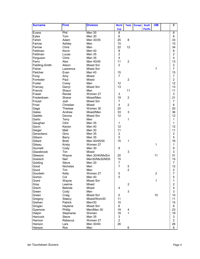| <b>Surname</b> | <b>First</b>   | <b>Division</b>  | <b>World</b>            | <b>Tests</b>   | <b>Europe</b> | <b>South</b>   | <b>OIM</b>     | #                       |
|----------------|----------------|------------------|-------------------------|----------------|---------------|----------------|----------------|-------------------------|
|                |                |                  | Cup                     |                |               | <b>Pacific</b> |                |                         |
| Evans          | Phil           | Men 35           | 8                       |                |               |                |                | $\overline{8}$          |
| Eyles          | Tom            | Men 30           | 6                       |                |               |                |                | 6                       |
| Fahim          | Adam           | Men 30/35        | 25                      | 8              |               |                |                | 33                      |
| Farrow         | Ashley         | Men              | 15                      |                |               |                |                | 15                      |
| Farrow         | Chris          | Men              | 22                      | 12             |               |                |                | 34                      |
| Feldman        | Kevin          | Men 40           | 8                       |                |               |                |                | 8                       |
| Feldman        | Lucas          | <b>Men 35</b>    | $\overline{2}$          |                |               |                |                | $\overline{c}$          |
| Ferguson       | Chris          | Men 35           | 4                       |                |               |                |                | 4                       |
| Ferro          | Alex           | Men 40/45        | 11                      | $\overline{2}$ |               |                |                | 13                      |
| Fielding-Smith | Alison         | Mixed Snr        | $\overline{c}$          |                |               |                |                | $\overline{c}$          |
| Fisher         | Lawrence       | Mixed Snr        |                         |                |               |                | $\overline{7}$ | $\overline{7}$          |
| Fletcher       | Evan           | Men 40           | 15                      |                |               |                |                | 15                      |
| Fong           | Amy            | Mixed            | $\overline{7}$          |                |               |                |                | $\overline{7}$          |
| Forrester      | Paul           | Mixed            |                         | $\overline{c}$ |               |                |                | $\overline{2}$          |
| Foster         | Corey          | Men              | 12                      |                |               |                |                | 12 <sub>2</sub>         |
| Francey        | Darryl         | <b>Mixed Snr</b> | 13                      |                |               |                |                | 13                      |
| Francis        | Shaun          | Men              |                         | 11             |               |                |                | 11                      |
| Fraser         | Renee          | Women 27         | 3                       |                |               |                |                | 3                       |
| Frederiksen    | Shane          | Mixed/Men        | 19                      | $\overline{2}$ |               |                |                | 21                      |
| Frizzel        | Jodi           | Mixed Snr        | 7                       |                |               |                |                | $\overline{7}$          |
| Frost          | Christian      | Mixed            | 4                       | $\overline{2}$ |               |                |                | 6                       |
| Gage           | <b>Therese</b> | Women 30         | 20                      |                |               |                |                | 20                      |
| Galea          | Andrew         | Mixed/Men        | 33                      | $\sqrt{3}$     |               |                |                | 36                      |
| Galetto        | Davina         | <b>Mixed Snr</b> | 12                      |                |               |                |                | 12                      |
|                |                | Men              |                         | 1              |               |                |                | 1                       |
| Garlic         | Terry<br>Clint |                  |                         |                |               |                |                | 1                       |
| Gaughan        |                | Men 35           | 1<br>12                 |                |               |                |                |                         |
| Gavin          | Keiran         | Men 40           |                         |                |               |                |                | 12 <sub>2</sub>         |
| Geiger         | Matt           | Men 30           | 11                      |                |               |                |                | 11                      |
| Geracitano     | Gino           | Men 35           | $\overline{\mathbf{c}}$ |                |               |                |                | $\overline{\mathbf{c}}$ |
| Gibson         | <b>Barry</b>   | <b>Men 35</b>    | 5                       |                |               |                |                | 5                       |
| Gillard        | <b>Brett</b>   | Men 40/45/50     | 15                      | 1              |               |                |                | 16                      |
| Giteau         | Kristy         | Women 27         |                         |                |               |                | $\mathbf{1}$   | 1                       |
| Giumelli       | Cody           | Men 30           | 9                       |                |               |                |                | 9                       |
| Glazebrook     | Tim            | Mixed            |                         | 3              |               |                |                | 3                       |
| Gleeson        | Wayne          | Men 30/40/MxSnr  | 20                      |                |               |                | 11             | 31                      |
| Goetsch        | Neil           | Men30/Mx30/M35   | 15                      |                |               |                |                | 15                      |
| Golding        | <b>Steve</b>   | Men 30           | 7                       |                |               |                |                | $\overline{7}$          |
| Good           | Nicholas       | Men              | $\overline{7}$          | $\mathbf 5$    |               |                |                | 12                      |
| Good           | Tim            | Men              |                         | $\overline{c}$ |               |                |                | 2                       |
| Goodwin        | Kelly          | Women 27         | 5                       |                |               |                | $\overline{2}$ | $\overline{7}$          |
| Gorton         | Col            | Men 40           | 5                       |                |               |                |                | 5                       |
| Grant          | Wayne          | Mixed Snr        |                         |                |               |                | $\mathbf{1}$   | 1                       |
| Gray           | Leanne         | Mixed            |                         | $\overline{c}$ |               |                |                | $\overline{c}$          |
| Grech          | Belinda        | Mixed            | 4                       |                |               |                |                | 4                       |
| Green          | Cody           | Men              |                         | $\mathfrak{S}$ |               |                |                | 3                       |
| Green          | Craig          | Mixed Snr        | 5                       |                |               |                | 10             | 15                      |
| Gregory        | Staecy         | Mixed/Wom30      | 11                      |                |               |                |                | 11                      |
| Grehan         | Patrick        | Men/30           | 15                      |                |               |                |                | 15                      |
| Grogan         | Haylene        | Mixed Snr        | 6                       |                |               |                |                | 6                       |
| Gyemore        | Phillip        | Men/Men 30       | 19                      | 4              |               |                |                | 23                      |
| Halpin         | Stephanie      | Women            | 18                      | $\mathbf{1}$   |               |                |                | 19                      |
| Hancock        | Steve          | Men 35           | 3                       |                |               |                |                | 3                       |
| Hannon         | Rebecca        | Women 27         | $\overline{c}$          |                |               |                |                | $\overline{a}$          |
| Hanson         | Lars           | Men 30/40        | 26                      |                |               |                |                | 26                      |
| Hanson         | Ron            | Men              |                         | 6              |               |                |                | 6                       |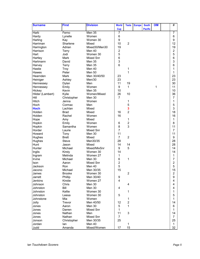| <b>Surname</b>   | <b>First</b>  | <b>Division</b>  | <b>World</b>   | <b>Tests</b>   | <b>Europe</b> | <b>South</b>   | <b>OIM</b> | #              |
|------------------|---------------|------------------|----------------|----------------|---------------|----------------|------------|----------------|
|                  |               |                  | <b>Cup</b>     |                |               | <b>Pacific</b> |            |                |
| <b>Harb</b>      | Ferno         | Men 35           | 7              |                |               |                |            | 7              |
| Hardy            | Lynelle       | Women            | 6              |                |               |                |            | 6              |
| Harling          | Kay           | Women 30         | 9              |                |               |                |            | 9              |
| Harriman         | Sharlene      | Mixed            | 10             | $\overline{c}$ |               |                |            | 12             |
| Harrington       | Adrian        | Mixed30/Men30    | 19             |                |               |                |            | 19             |
| Harrison         | Terry         | Men 40           | $\overline{c}$ |                |               |                |            | $\overline{c}$ |
| Hart             | Jodi          | Women 30         | 5              |                |               |                |            | 5              |
| Hartley          | Mark          | <b>Mixed Snr</b> | 6              |                |               |                |            | 6              |
| Hartmann         | David         | Men 35           | 3              |                |               |                |            | 3              |
| Harvey           | Terry         | Men 35           | 6              |                |               |                |            | 6              |
| Hastie           | Troy          | Men 40           |                | 1              |               |                |            | 1              |
| Hawes            | Peter         | <b>Men 50</b>    |                | 1              |               |                |            | 1              |
| Hearnden         | <b>Mark</b>   | Men 30/40/50     | 23             |                |               |                |            | 23             |
| Heiniger         | Ashley        | Men/30           | 23             |                |               |                |            | 23             |
| Hennessey        | Dylan         | Men              | 11             | 19             |               |                |            | 30             |
| Hennessey        | Emily         | Women            | 9              | 1              |               |                | 1          | 11             |
| Hickey           | Kevin         | <b>Men 35</b>    | 10             |                |               |                |            | 10             |
| Hilder (Lambert) | Kylie         | Women/Mixed      | 26             | 10             |               |                |            | 36             |
| Hill             | Christopher   | Men 30           | $\overline{7}$ |                |               |                |            | $\overline{7}$ |
| Hitch            | Jenna         | Women            |                | 1              |               |                |            | 1              |
| Hoch             | Cormac        | Men              |                | 5              |               |                |            | 5              |
| <b>Hoch</b>      | Lachlan       | Mixed            |                | 3              |               |                |            | 3              |
| Holden           | <b>Brad</b>   | Mixed            | 16             | $\overline{2}$ |               |                |            | 18             |
| Holden           | Rachel        | Women            | 16             |                |               |                |            | 16             |
| Hope             | Amy           | Mixed            |                | 1              |               |                |            | 1              |
| Hopkin           | Emily         | Women            | 6              | $\overline{c}$ |               |                |            | 8              |
| Hopkin           | Samantha      | Women            | 8              | 3              |               |                |            | 11             |
| Horder           | Laurie        | Mixed Snr        | $\overline{7}$ |                |               |                |            | $\overline{7}$ |
| Howard           | Tony          | Men 30           | 11             |                |               |                |            | 11             |
| Hughes           | <b>Brett</b>  | Mixed            | $\overline{7}$ | $\overline{2}$ |               |                |            | 9              |
| Hughes           | Steve         | Men30/35         | 28             |                |               |                |            | 28             |
| Hunt             | Jason         | Mixed            | 14             | 14             |               |                |            | 28             |
| Hunter           | Michael       | Mixed/MixSnr     | 9              | 5              |               |                |            | 14             |
| Inglis           | Kirsty        | Women 30         | 14             |                |               |                |            | 14             |
| Ingram           | Melinda       | Women 27         | $\mathbf{1}$   |                |               |                |            | 1              |
| Irvine           | Michael       | Men 30           | 6              | 1              |               |                |            | $\overline{7}$ |
| Ison             | Aaron         | Mixed Snr        | $\overline{c}$ |                |               |                |            | $\overline{2}$ |
| Jackson          | Ron           | Men 40           | 5              |                |               |                |            | 5              |
| Jacono           | Michael       | Men 30/35        | 15             |                |               |                |            | 15             |
| James            | <b>Brooke</b> | Women 30         |                | $\overline{c}$ |               |                |            | $\overline{2}$ |
| Jarrett          | Phillip       | Men 30/40        | 9              |                |               |                |            | 9              |
| Jenkins          | Kirstie       | Women 27         | 4              |                |               |                |            | 4              |
| Johnson          | Chris         | Men 30           |                | 4              |               |                |            | 4              |
| Johnston         | Bill          | Men 30           | 4              |                |               |                |            | 4              |
| Johnston         | Kellie        | Women 30         |                | 1              |               |                |            | 1              |
| Johnston         | Leesa         | Women 30         | 5              |                |               |                |            | 5              |
| Johnstone        | Mia           | Women            |                | 1              |               |                |            | 1              |
| Jolly            | Trevor        | Men 40/50        | 12             | $\overline{c}$ |               |                |            | 14             |
| Jones            | Aaron         | Men 30           | 5              | 1              |               |                |            | 6              |
| Jones            | Darren        | Mixed Snr        | 1              |                |               |                |            | 1              |
| Jones            | Nathan        | Men              | 11             | 3              |               |                |            | 14             |
| Jones            | Nathan        | Mixed Snr        | $\overline{7}$ |                |               |                |            | $\overline{7}$ |
| Jonson           | Christopher   | Men 30/35        | 25             |                |               |                |            | 25             |
| Jordan           | lan           | Men 40           |                | 1              |               |                |            | 1              |
| Judd             | Amanda        | Mixed/Women      | 17             | 15             |               |                |            | 32             |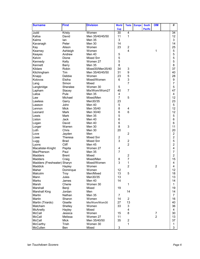| <b>Surname</b>              | <b>First</b>   | <b>Division</b>     | <b>World</b>    | <b>Tests</b>                     | <b>Europe</b> | <b>South</b>   | <b>OIM</b>     | #              |
|-----------------------------|----------------|---------------------|-----------------|----------------------------------|---------------|----------------|----------------|----------------|
|                             |                |                     | <b>Cup</b>      |                                  |               | <b>Pacific</b> |                |                |
| Judd                        | Kristy         | Women               | $\overline{30}$ | $\overline{4}$                   |               |                |                | 34             |
| Kafoa                       | David          | Men 35/40/45/50     | 11              | 1                                |               |                |                | 12             |
| Kalms                       | lan            | Men 35              | 3               |                                  |               |                |                | 3              |
| Kavanagh                    | Peter          | Men 30              | 14              |                                  |               |                |                | 14             |
| Kay                         | Alison         | Women               | 23              | $\overline{c}$<br>$\overline{4}$ |               |                |                | 25             |
| Kearney                     | Ashleigh       | Women               |                 |                                  |               |                | 1              | 5<br>5         |
| Keayes                      | Andrew         | Men 40<br>Mixed Snr | 5<br>5          |                                  |               |                |                | 5              |
| Kelvin                      | Dione          |                     | 5               |                                  |               |                |                | 5              |
| Kennedy<br>Kennett          | Kelly          | Women 27<br>Men 35  | 8               |                                  |               |                |                | 8              |
| Kildare                     | Barry<br>Robin | Mixed30/Men35/40    | 34              | 3                                |               |                |                | 37             |
| Kitchingham                 | Tim            | Men 35/40/45/50     | 31              | $\boldsymbol{9}$                 |               |                |                | 40             |
| Knapp                       | Debbie         | Women               | 23              | 5                                |               |                |                | 28             |
| Kolovos                     | Elsiha         | Mixed/Women         | 6               | 3                                |               |                |                | 9              |
| Lang                        | Simon          | Mixed               |                 | $\overline{7}$                   |               |                |                | $\overline{7}$ |
| Langbridge                  | Sheralee       | Women 30            | 5               |                                  |               |                |                | 5              |
| Lapham                      | Stacey         | Mix/Wom/Wom27       | 40              | $\overline{7}$                   |               |                |                | 47             |
| Latoa                       | Pule           | Men 35              | 4               |                                  |               |                |                | 4              |
| Law                         | Michael        | Mixed/Men           | $\overline{7}$  | 5                                |               |                |                | 12             |
| Lawless                     | Garry          | Men30/35            | 23              |                                  |               |                |                | 23             |
| Lawson                      | John           | Men 40              | 5               |                                  |               |                |                | 5              |
| Lennon                      | <b>Mick</b>    | Men 35/40           | 8               | $\overline{\mathbf{4}}$          |               |                |                | 12             |
| Leonard                     | <b>Mark</b>    | Men 30/40           | 6               | $6\phantom{1}$                   |               |                |                | 12             |
| Lewis                       | Mark           | Men 35              | 5               |                                  |               |                |                | 5              |
| Liston                      | Jack           | Men 40              | 6               |                                  |               |                |                | 6              |
| Logan                       | David          | Men 40              | 6               |                                  |               |                |                | 6              |
| Lorger                      | Warren         | Men 30              | 8               | 3                                |               |                |                | 11             |
| Loth                        | Chris          | Men 30              | 20              |                                  |               |                |                | 20             |
| Love                        | Jayden         | Men                 |                 | $\overline{c}$                   |               |                |                | $\overline{c}$ |
| Lowe                        | Theresa        | Mixed Snr           | $\overline{c}$  |                                  |               |                |                | $\overline{c}$ |
| Lugg                        | <b>Brad</b>    | Mixed Snr           | 3               | $\overline{c}$                   |               |                |                | 5              |
| Lyons                       | Cliff          | Men 45              |                 | $\overline{2}$                   |               |                |                | $\overline{2}$ |
| Macalister-Knight           | Pepita         | Women 27            | 4               |                                  |               |                |                | 4              |
| MacPherson                  | Paul           | Men 35              | $\overline{7}$  |                                  |               |                |                | $\overline{7}$ |
| <b>Madders</b>              | <b>Brent</b>   | Mixed               |                 | $\overline{c}$                   |               |                |                | $\overline{2}$ |
| <b>Madders</b>              | Craig          | Mixed/Men           | 8               | 7                                |               |                |                | 15             |
| Madders (Freshwater) Sharyn |                | Mixed/Women         | 3               | 1                                |               |                |                | 4              |
| Maddick                     | Hayley         | Women               |                 | $\overline{2}$                   |               |                | $\overline{c}$ | 4              |
| Maher                       | Dominque       | Women               | 12              |                                  |               |                |                | 12             |
| Malcolm                     | Troy           | Men/Mixed           | 13              | 5                                |               |                |                | 18             |
| Mann                        | Jules          | Men30/35            | 13              |                                  |               |                |                | 13             |
| <b>Marks</b>                | James          | Men 40              | 14              |                                  |               |                |                | 14             |
| Marsh                       | Cherie         | Women 30            |                 | 1                                |               |                |                | 1              |
| Marshall                    | Benji          | Mixed               | 19              |                                  |               |                |                | 19             |
| <b>Marshall King</b>        | Jordan         | Men                 |                 | 14                               |               |                |                | 14             |
| Martin                      | Nathan         | Men 35              | $\overline{7}$  |                                  |               |                |                | $\overline{7}$ |
| Martin                      | Sharon         | Women               | 14              | $\overline{c}$                   |               |                |                | 16             |
| Martin (Tirardo)            | Giselle        | Mix/Wom/Wom30       | 27              | 13                               |               |                |                | 40             |
| Matcham                     | Shelley        | Women               | 33              | 3                                |               |                |                | 36             |
| McAnelly                    | Hayley         | Mixed               |                 | 4                                |               |                |                | 4              |
| McCall                      | Jessica        | Women               | 15              | 8                                |               |                | $\overline{7}$ | 30             |
| McCall                      | Melissa        | Women 27            | 11              |                                  |               |                | $\overline{2}$ | 13             |
| McCall                      | Mick           | Men 35/40/50        | 35              | $\overline{2}$                   |               |                |                | 37             |
| McCarthy                    | Trish          | Women 30            |                 | 1                                |               |                |                | 1              |
| McCullen                    | Ben            | Mixed               | 3               |                                  |               |                |                | 3              |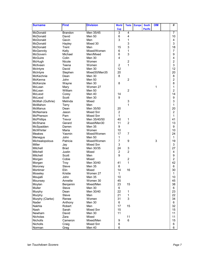| <b>Surname</b>    | <b>First</b>   | <b>Division</b> | <b>World</b>   | <b>Tests</b>            | <b>Europe</b> | <b>South</b>   | <b>OIM</b> | #              |
|-------------------|----------------|-----------------|----------------|-------------------------|---------------|----------------|------------|----------------|
|                   |                |                 | <b>Cup</b>     |                         |               | <b>Pacific</b> |            |                |
| McDonald          | <b>Brandon</b> | Men 35/45       | 3              | 4                       |               |                |            | 7              |
| McDonald          | David          | Men 50          | 6              | 4                       |               |                |            | 10             |
| McDonald          | Gavin          | Men             | 3              | 1                       |               |                |            | 4              |
| McDonald          | Hayley         | Mixed 30        |                | 3                       |               |                |            | 3              |
| McDonald          | Trent          | Men             | 15             | 3                       |               |                |            | 18             |
| McGennity         | Kelly          | Mixed/Women     | 6              | 1                       |               |                |            | $\overline{7}$ |
| McGovern          | Michael        | Men/Mixed       | 6              | 3                       |               |                |            | 9              |
| <b>McGuire</b>    | Colin          | Men 30          | 4              |                         |               |                |            | 4              |
| McHugh            | Nicole         | Women           |                | $\overline{\mathbf{c}}$ |               |                |            | $\overline{c}$ |
| McIlveen          | Teena          | Women           | $\overline{c}$ | 1                       |               |                |            | 3              |
| McIntyre          | David          | Men 30          | 12             |                         |               |                |            | 12             |
| McIntyre          | Stephen        | Mixed30/Men35   | 20             |                         |               |                |            | 20             |
| McKechnie         | Dean           | Men 30          | 8              |                         |               |                |            | 8              |
| McKenna           | John           | Men 50          |                | $\overline{2}$          |               |                |            | $\overline{2}$ |
| McKenzie          | Wayne          | Men 30          | 8              |                         |               |                |            | 8              |
| McLean            | Mary           | Women 27        |                |                         |               |                | 1          | 1              |
| McLean            | William        | <b>Men 50</b>   |                | $\overline{2}$          |               |                |            | $\overline{2}$ |
| McLeod            | Corey          | Men 40          | 14             |                         |               |                |            | 14             |
| McLeod            | Scott          | Men 30          | 9              |                         |               |                |            | 9              |
| McMah (Guthrie)   | Melinda        | Mixed           |                | 3                       |               |                |            | 3              |
| McMahon           | Terry          | Men             |                | 1                       |               |                |            | 1              |
| <b>McManus</b>    | Dean           | Men 35/50       | 20             |                         |               |                |            | 20             |
| McNamara          | Jason          | Mixed Snr       | $\overline{c}$ |                         |               |                |            | $\overline{c}$ |
| McPherson         | Pam            | Mixed Snr       | 1              |                         |               |                |            | 1              |
| <b>McPhillips</b> | Trevor         | Men 35/40/50    | 40             | 1                       |               |                |            | 41             |
| McShane           | Gerard         | Mixed/Men30     | 11             | $\overline{2}$          |               |                |            | 13             |
| McSpadden         | Darren         | <b>Men 35</b>   | 9              |                         |               |                |            | 9              |
| McWhirter         | Maria          | Women           | 10             |                         |               |                |            | 10             |
| <b>Meakes</b>     | Yasmin         | Mixed/Women     | 17             | $\overline{7}$          |               |                |            | 24             |
| Menegus           | John           | <b>Men 50</b>   | $\mathbf{1}$   |                         |               |                |            | 1              |
| Michealopolous    | Patricia       | Mixed/Women     | $\overline{7}$ | 9                       |               |                | 3          | 19             |
| Miller            | Jay            | Mixed Snr       | 3              |                         |               |                |            | 3              |
| Mitchell          | Brad           | Men 30/35       | 24             | 3                       |               |                |            | 27             |
| Mitchell          | Justin         | Mixed           | $\overline{c}$ | $\overline{2}$          |               |                |            | 4              |
| Mitchell          | Scott          | Men             | 9              |                         |               |                |            | 9              |
| Morgan            | Cobie          | Mixed           |                | $\overline{c}$          |               |                |            | $\overline{2}$ |
| Morgan            | Troy           | Men 30/40       | 41             | 1                       |               |                |            | 42             |
| Moroney           | Steve          | Men 35          | 6              |                         |               |                |            | 6              |
| Mortimer          | Elin           | Mixed           | 14             | 16                      |               |                |            | 30             |
| Moseley           | Kristie        | Women 27        | $\mathbf{1}$   |                         |               |                |            | 1              |
| Moujalli          | John           | <b>Men 35</b>   | 10             |                         |               |                |            | 10             |
| Mounsey           | Annette        | Women 30        | 45             |                         |               |                |            | 45             |
| Moylan            | Benjamin       | Mixed/Men       | 23             | 15                      |               |                |            | 38             |
| Muller            | Steve          | Men 30          | 6              |                         |               |                |            | 6              |
| Murphy            | Dean           | Men 30/40       | 22             | 1                       |               |                |            | 23             |
| Murphy            | Steve          | Men             | 21             | 1                       |               |                |            | 22             |
| Murphy (Clarke)   | Renee          | Women           | 31             | 3                       |               |                |            | 34             |
| Nader             | Anthony        | Men 30          | 6              |                         |               |                |            | 6              |
| Nakhla            | Robert         | Men             | 17             | 15                      |               |                |            | 32             |
| Nash              | Sarah          | Mixed Snr       | 15             |                         |               |                |            | 15             |
| Newham            | David          | Men 30          | 11             |                         |               |                |            | 11             |
| Nicholas          | Zara           | Mixed           |                | 11                      |               |                |            | 11             |
| Nicholls          | Cameron        | Mixed/Men       | 9              | 6                       |               |                |            | 15             |
| Nicholls          | Craig          | Mixed Snr       | 6              |                         |               |                |            | 6              |
| Norman            | Greg           | Men 40          | 6              |                         |               |                |            | 6              |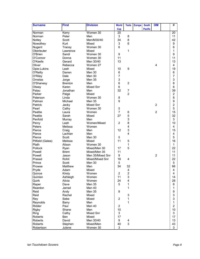| <b>Surname</b>   | <b>First</b>   | <b>Division</b>  | <b>World</b>   | <b>Tests</b>            | <b>Europe</b> | <b>South</b>   | <b>OIM</b>     | #               |
|------------------|----------------|------------------|----------------|-------------------------|---------------|----------------|----------------|-----------------|
|                  |                |                  | <b>Cup</b>     |                         |               | <b>Pacific</b> |                |                 |
| Norman           | Kerry          | Women 30         | 20             |                         |               |                |                | $\overline{20}$ |
| Norman           | Peter          | Men              | 3              | 8                       |               |                |                | 11              |
| Notley           | Scott          | Men/M30/40       | 34             | 8                       |               |                |                | 42              |
| Nowothey         | Kurt           | Mixed            | 3              | 6                       |               |                |                | 9               |
| Nugent           | Tracey         | Women 30         | 6              |                         |               |                |                | 6               |
| Oberleuter       | Lawrence       | Mixed            |                | 1                       |               |                |                | 1               |
| O'Brien          | Sandi          | Women 30         | 9              |                         |               |                |                | 9               |
| O'Connor         | Donna          | Women 30         | 11             |                         |               |                |                | 11              |
| O'Keefe          | Gerard         | Men 30/40        | 13             |                         |               |                |                | 13              |
| Oliver           | Rebecca        | Women 27         |                |                         |               |                | 4              | 4               |
| Opie-Lukins      | Leah           | Mixed            | 10             | 9                       |               |                |                | 19              |
| O'Reilly         | Darren         | Men 30           | 6              |                         |               |                |                | 6               |
| O'Riley          | Dale           | Men 30           | 7              |                         |               |                |                | $\overline{7}$  |
| Ornelas          | Jorge          | Men 35           | 3              |                         |               |                |                | 3               |
| O'Shanesy        | <b>Brenton</b> | Men              | 6              | $\overline{2}$          |               |                |                | 8               |
| Otway            | Karen          | <b>Mixed Snr</b> | 6              |                         |               |                |                | 6               |
| Palau            | Jonathan       | Men              | 32             | $\boldsymbol{7}$        |               |                |                | 39              |
| Parker           | Paige          | Mixed            |                | $\overline{2}$          |               |                |                | $\overline{c}$  |
| Paterson         | Linda          | Women 30         | 8              |                         |               |                |                | 8               |
| Patman           | Michael        | Men 35           | 9              |                         |               |                |                | 9               |
| Patrick          | Jacky          | Mixed Snr        |                |                         |               |                | $\overline{2}$ | $\overline{c}$  |
| Pearl            | Cathy          | Women 30         | 5              |                         |               |                |                | 5               |
| Peattie          | Laura          | Women            | 7              | 6                       |               |                | $\overline{2}$ | 15              |
| Peattie          | Sarah          | Mixed            | 27             | 5                       |               |                |                | 32              |
| Penfold          | Murray         | Men              |                | 3                       |               |                |                | 3               |
| Percy            | Leah           | Women/Mixed      | $\overline{2}$ | 8                       |               |                |                | 10              |
| Peters           | Melissa        | Women            |                | 4                       |               |                |                | 4               |
| Pierce           | Craig          | Men              | 12             | 3                       |               |                |                | 15              |
| Pierce           | Lachlan        | Men              |                | 4                       |               |                |                | 4               |
| Pierce           | Scott          | Men 30           | 5              |                         |               |                |                | 5               |
| Pitfield (Galea) | Melissa        | Mixed            | 11             | 5                       |               |                |                | 16              |
| Plath            | Alison         | Women 30         |                | 1                       |               |                |                | 1               |
| Pollock          | Ryan           | Mixed/Men 30     | 17             | 5                       |               |                |                | 22              |
| Powell           | <b>Brent</b>   | Mixed/Men 35     | 11             |                         |               |                |                | 11              |
| Powell           | Jason          | Men 35/Mixed Snr | 9              |                         |               |                | $\overline{c}$ | 11              |
| Prasad           | Rohit          | Mixed/Mixed Snr  | 18             | $\overline{\mathbf{4}}$ |               |                |                | 22              |
| Prince           | Scott          | Men 30           | 5              |                         |               |                |                | 5               |
| Prowse           | Matthew        | Men              | 34             | 32                      |               |                |                | 66              |
| Pryde            | Adam           | Mixed            |                | 4                       |               |                |                | 4               |
| Quince           | Kirsty         | Women            | $\overline{2}$ | $\overline{2}$          |               |                |                | 4               |
| Quinlan          | Ashleigh       | Women            | 11             | 3                       |               |                |                | 14              |
| Quirk            | Alicia         | Women            | 24             | 4                       |               |                |                | 28              |
| Raper            | Dave           | Men 35           | 5              | 1                       |               |                |                | 6               |
| Reardon          | Jarrad         | Men 40           |                | 1                       |               |                |                | 1               |
| Reid             | Andy           | Men 35           | 9              |                         |               |                |                | 9               |
| Reid             | Rachel         | Mixed            |                | 3                       |               |                |                | 3               |
| Rey              | Sebe           | Mixed            | $\overline{2}$ | 1                       |               |                |                | 3               |
| Reynolds         | Barry          | Men              |                | 1                       |               |                |                | 1               |
| Ridder           | Paul           | Men 40           | $\overline{2}$ |                         |               |                |                | $\overline{2}$  |
| <b>Rigby</b>     | Shane          | Men              | 10             |                         |               |                |                | 10              |
| Ring             | Cathy          | Mixed Snr        | 3              |                         |               |                |                | 3               |
| <b>Roberts</b>   | Ben            | Mixed            | 17             |                         |               |                |                | 17              |
| <b>Roberts</b>   | David          | Men 30/40        | 9              | 4                       |               |                |                | 13              |
| Roberts          | Stephen        | Mixed/Men        | 40             | 3                       |               |                |                | 43              |
| Robertson        | Julene         | Women 30         | 3              |                         |               |                |                | 3               |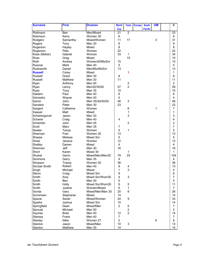| <b>Surname</b> | <b>First</b> | <b>Division</b>  | <b>World</b>   | <b>Tests</b>            | <b>Europe</b> | <b>South</b>   | <b>OIM</b> | #               |
|----------------|--------------|------------------|----------------|-------------------------|---------------|----------------|------------|-----------------|
|                |              |                  | <b>Cup</b>     |                         |               | <b>Pacific</b> |            |                 |
| Robinson       | Ben          | Men/Mixed        | 21             | $\overline{2}$          |               |                |            | $\overline{23}$ |
| Robinson       | Kerry        | Women 30         | 6              |                         |               |                |            | 6               |
| Rodgers        | Samantha     | Mixed/Women      | 11             | 17                      |               |                | 3          | 31              |
| Rogers         | Tony         | Men 30           | 9              |                         |               |                |            | 9               |
| Rogerson       | Hayley       | Mixed            | 8              |                         |               |                |            | 8               |
| Rogerson       | Peta         | Women            | 22             |                         |               |                |            | 22              |
| Rose (Maher)   | Gabriel      | Women            | 33             | 1                       |               |                |            | 34              |
| <b>Ross</b>    | Greg         | Mixed            |                | 10                      |               |                |            | 10              |
| Roth           | Andrea       | Women30/MixSnr   | 15             |                         |               |                |            | 15              |
| Ruscoe         | <b>Mark</b>  | Men 40           | 5              |                         |               |                |            | 5               |
| Rushworth      | Daniel       | Men/Mix/MxSnr    | 13             |                         |               |                |            | 13              |
| <b>Russell</b> | Corey        | Mixed            |                | 1                       |               |                |            | 1               |
| Russell        | Grant        | Men 30           | 8              |                         |               |                |            | 8               |
| Russell        | Matthew      | Men 30           | 11             |                         |               |                |            | 11              |
| Ryan           | Anthony      | Men 50           |                | $\overline{\mathbf{c}}$ |               |                |            | $\overline{c}$  |
| Ryan           | Lenny        | Men30/35/50      | 57             | $\overline{2}$          |               |                |            | 59              |
| Ryan           | Tony         | <b>Men 35</b>    | 10             |                         |               |                |            | 10              |
| Saldern        | Paul         | Men 40           | 6              |                         |               |                |            | 6               |
| Salvestro      | Wayne        | Men 40           | 4              |                         |               |                |            | 4               |
| Samin          | John         | Men 35/30/40/50  | 46             | $\overline{2}$          |               |                |            | 48              |
| Sanders        | Peter        | Men 30           | 23             |                         |               |                |            | 23              |
| Sargent        | Catherine    | Women            |                | 6                       |               |                | 1          | $\overline{7}$  |
| Sawyer         | Matt         | Mixed            |                | 1                       |               |                |            | 1               |
| Scharenguivel  | Jason        | Men 30           |                | 3                       |               |                |            | 3               |
| Scharer        | Craig        | Men 40           | 4              |                         |               |                |            | 4               |
| Schembri       | John         | Men 45           |                | $\overline{c}$          |               |                |            | $\overline{c}$  |
| Scott          | Marc         | <b>Men 35</b>    | $\overline{7}$ |                         |               |                |            | 7               |
| Sewter         | Tanya        | Women            | 4              | 1                       |               |                |            | 5               |
| Sharman        | Fran         | Women 30         | 13             |                         |               |                |            | 13              |
| Sharpe         | Melissa      | <b>Mixed Snr</b> | 5              |                         |               |                |            | 5               |
| Shaw           | Jessica      | Women            | 12             |                         |               |                |            | 12              |
| Shelley        | Darren       | Mixed            | 4              |                         |               |                |            | 4               |
| Sherman        | <b>Jeff</b>  | Men 30           | 16             |                         |               |                |            | 16              |
| Short          | Karen        | Mixed 30         |                | 1                       |               |                |            | $\mathbf 1$     |
| Shuker         | Gavin        | Mixed/Men/Men30  | 79             | 25                      |               |                |            | 104             |
| Simmons        | Garry        | <b>Men 35</b>    | 4              |                         |               |                |            | 4               |
| Simpson        | Tracey       | Women 30         | 36             |                         |               |                |            | 36              |
| Sinclair-Smith | Robert       | Men 40           | 9              | 4                       |               |                |            | 13              |
| Singh          | Michael      | Mixed            | 1              | 3                       |               |                |            | 4               |
| Slavin         | Craig        | Mixed Snr        | 8              |                         |               |                |            | 8               |
| Smith          | Amy          | Mixed Snr/Wom30  | 4              | 3                       |               |                |            | $\overline{7}$  |
| Smith          | Ben          | Men 30           | 5              |                         |               |                |            | 5               |
| Smith          | Holly        | Mixed Snr/Wom30  | 6              | 5                       |               |                |            | 11              |
| Smith          | Justine      | Women/Mixed      | 6              | 1                       |               |                |            | 7               |
| Sonda          | Gary         | Mixed/Men/Men 30 | 20             | 6                       |               |                |            | 26              |
| Sorrensen      | Stephanie    | Mixed            | 14             |                         |               |                |            | 14              |
| Spacie         | Sarah        | Mixed/Women      | 24             | 9                       |               |                |            | 33              |
| Sparke         | Joshua       | <b>Mixed Snr</b> | 14             |                         |               |                |            | 14              |
| Springfield    | Dean         | Mixed/Men        | $\overline{2}$ | 5                       |               |                |            | 7               |
| Sproule        | Michael      | Men 50           |                | $\overline{c}$          |               |                |            | 2               |
| Squires        | <b>Brad</b>  | Men 40           | 12             | $\overline{2}$          |               |                |            | 14              |
| Stampa         | Frank        | Men 40           | $\overline{7}$ |                         |               |                |            | $\overline{7}$  |
| Stanley        | Nikki        | Women 27         | $\overline{2}$ |                         |               |                | 6          | 8               |
| Stanton        | Jason        | Mixed/Men        | 10             | 3                       |               |                |            | 13              |
| Stanton        | Matthew      | Men 35           | 14             |                         |               |                |            | 14              |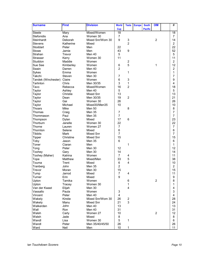| <b>Surname</b>      | <b>First</b> | <b>Division</b>  | <b>World</b>            | <b>Tests</b>            | <b>Europe</b> | <b>South</b>   | <b>OIM</b>     | #               |
|---------------------|--------------|------------------|-------------------------|-------------------------|---------------|----------------|----------------|-----------------|
|                     |              |                  | <b>Cup</b>              |                         |               | <b>Pacific</b> |                |                 |
| Steele              | Mary         | Mixed/Women      | $\overline{18}$         |                         |               |                |                | $\overline{18}$ |
| Stefonidis          | Ana          | Women 30         | 7                       |                         |               |                |                | $\overline{7}$  |
| Steinhardt          | Deborah      | Mixed Snr/Wom 30 | 9                       | 3                       |               |                | $\overline{2}$ | 14              |
| Stevens             | Katherine    | Mixed            |                         | $\overline{2}$          |               |                |                | $\overline{2}$  |
| Stoddart            | Peter        | Men              | 22                      |                         |               |                |                | 22              |
| Stowe               | Jamie        | Men              | 43                      | 9                       |               |                |                | 52              |
| Strahan             | Trevor       | Men 40           | 5                       |                         |               |                |                | 5               |
| Strasser            | Kerry        | Women 30         | 11                      |                         |               |                |                | 11              |
| Studdon             | Maddie       | Women            |                         | $\boldsymbol{2}$        |               |                |                | $\overline{2}$  |
| Sue See             | Kimberley    | Women            | 6                       | 5                       |               |                | 1              | 12              |
| Swain               | Darren       | Men 40           | $\overline{2}$          |                         |               |                |                | $\overline{c}$  |
| Sykes               | Emma         | Women            |                         | 1                       |               |                |                | 1               |
| Takchi              | Steven       | Men 30           | 7                       |                         |               |                |                | 7               |
| Tandek (Winchester) | Claire       | Women            | 6                       | 3                       |               |                |                | 9               |
| Tarlinton           | Chris        | Men 30/35        | 3                       | $\mathbf{1}$            |               |                |                | 4               |
| Tavo                | Rebecca      | Mixed/Women      | 16                      | $\overline{2}$          |               |                |                | 18              |
| Taylor              | Ashley       | Men 40           | 5                       |                         |               |                |                | 5               |
| Taylor              | Christie     | Mixed Snr        | 13                      |                         |               |                |                | 13              |
| Taylor              | Dean         | Men 30/35        | 19                      | $\overline{c}$          |               |                |                | 21              |
| Taylor              | Gai          | Women 30         | 26                      |                         |               |                |                | 26              |
| Taylor              | Michael      | Mixed30/Men35    | 10                      |                         |               |                |                | 10              |
| Thoars              | Mike         | <b>Men 50</b>    |                         | 8                       |               |                |                | 8               |
| Thomas              | Craig        | <b>Men 35</b>    | $\overline{7}$          |                         |               |                |                | $\overline{7}$  |
| Thommason           | Paul         | <b>Men 35</b>    | $\overline{7}$          |                         |               |                |                | $\overline{7}$  |
| Thompson            | Dylan        | Mixed            | 17                      | 6                       |               |                |                | 23              |
| Thorburn            | Janelle      | Women 30         | 22                      |                         |               |                |                | 22              |
| Thorne              | Lauren       | Women 27         | $\overline{7}$          |                         |               |                |                | $\overline{7}$  |
| Thornton            | Selene       | Mixed            | 6                       |                         |               |                |                | 6               |
| <b>Tibbits</b>      | Mark         | Mixed Snr        | $\overline{7}$          |                         |               |                |                | $\overline{7}$  |
| Tipper              | Christine    | Mixed Snr        | 15                      |                         |               |                |                | 15              |
| Toby                | Jason        | Men 35           | 6                       |                         |               |                |                | 6               |
| Toner               | Ciaran       | Men              |                         | $\mathbf{1}$            |               |                |                | 1               |
| Tong                | Peter        | Men 30           | 12                      |                         |               |                |                | 12              |
| Toohey              | Gary         | Men 30           | 14                      |                         |               |                |                | 14              |
| Toohey (Maher)      | Katrina      | Women            | $\overline{7}$          | 4                       |               |                |                | 11              |
| Tope                | Matthew      | Mixed/Men        | 33                      | $\mathbf 5$             |               |                |                | 38              |
| Touma               | Trent        | Mixed            | 6                       | 4                       |               |                |                | 10              |
| Tranberg            | John         | Men 35           | $\overline{2}$          |                         |               |                |                | $\overline{2}$  |
| I revor             | Moran        | Men 30           | 15                      |                         |               |                |                | 15              |
| Tump                | Jarrod       | Mixed            | $\overline{7}$          | 4                       |               |                |                | 11              |
| Turner              | Erin         | Mixed            | 9                       |                         |               |                |                | 9               |
| Upton               | Tamika       | Women            |                         | 6                       |               |                | $\overline{c}$ | 8               |
| Upton               | Tracey       | Women 30         |                         | 1                       |               |                |                | 1               |
| Van der Kwast       | Elijah       | Men 30           |                         | $\overline{4}$          |               |                |                | 4               |
| Vassallo            | Paula        | Women            | 3                       |                         |               |                |                | 3               |
| Vincent             | Peter        | Men 40           | $\overline{\mathbf{4}}$ |                         |               |                |                | 4               |
| Wakely              | Kirstie      | Mixed Snr/Wom 30 | 26                      | $\overline{\mathbf{c}}$ |               |                |                | 28              |
| Wakely              | Manu         | Mixed Snr        | 21                      | 3                       |               |                |                | 24              |
| Walkerden           | John         | Men 40           | 13                      |                         |               |                |                | 13              |
| Wall                | Ron          | Men 40           | 31                      |                         |               |                |                | 31              |
| Walsh               | Carly        | Women 27         | 10                      |                         |               |                | $\overline{c}$ | 12              |
| Walsh               | Jade         | Mixed            | 8                       |                         |               |                |                | 8               |
| Wandl               | Lisa         | Women 30         | 5                       | 1                       |               |                |                | 6               |
| Wandl               | Peter        | Men 35/40/45/50  | 26                      |                         |               |                |                | 26              |
| Ward                | Neil         | Men              | 10                      | 1                       |               |                |                | 11              |
|                     |              |                  |                         |                         |               |                |                |                 |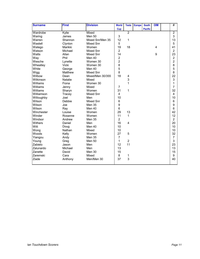| <b>Surname</b> | <b>First</b> | <b>Division</b>  | <b>World</b>   | <b>Tests</b>            | <b>Europe</b> | <b>South</b>   | <b>OIM</b> | #              |
|----------------|--------------|------------------|----------------|-------------------------|---------------|----------------|------------|----------------|
|                |              |                  | <b>Cup</b>     |                         |               | <b>Pacific</b> |            |                |
| Wardrobe       | Kylie        | Mixed            |                | $\overline{2}$          |               |                |            | $\overline{2}$ |
| Waring         | James        | <b>Men 50</b>    | 3              |                         |               |                |            | 3              |
| Warren         | Shannon      | Mixed Snr/Men 35 | 12             | 1                       |               |                |            | 13             |
| Wastell        | Clynton      | Mixed Snr        | 5              |                         |               |                |            | 5              |
| Watego         | Marikki      | Women            | 19             | 18                      |               |                | 4          | 41             |
| Watson         | Michael      | Mixed Snr        | $\overline{c}$ |                         |               |                |            | $\overline{c}$ |
| Watts          | Allan        | <b>Mixed Snr</b> | 14             |                         |               |                | 9          | 23             |
| Way            | Phil         | Men 40           | $\overline{c}$ |                         |               |                |            | $\overline{c}$ |
| Wesche         | Lynette      | Women 30         | $\overline{2}$ |                         |               |                |            | $\overline{2}$ |
| Wheatley       | Vicki        | Women 30         | 8              |                         |               |                |            | 8              |
| White          | George       | Men 40           | 5              |                         |               |                |            | 5              |
| Wigg           | Matthew      | Mixed Snr        | 8              |                         |               |                |            | 8              |
| Wilbow         | Dean         | Mixed/Men 30/355 | 18             | 4                       |               |                |            | 22             |
| Wilkinson      | Natalie      | Mixed            |                | 3                       |               |                |            | 3              |
| Williams       | Fiona        | Women 30         |                | 1                       |               |                |            | 1              |
| Williams       | Jenny        | Mixed            | 7              |                         |               |                |            | $\overline{7}$ |
| Williams       | Sharyn       | Women            | 31             | 1                       |               |                |            | 32             |
| Williamson     | Tracey       | Mixed Snr        | 4              |                         |               |                |            | 4              |
| Willoughby     | Joel         | Men              | 10             |                         |               |                |            | 10             |
| Wilson         | Debbie       | <b>Mixed Snr</b> | 6              |                         |               |                |            | 6              |
| Wilson         | Joe          | <b>Men 35</b>    | 9              |                         |               |                |            | 9              |
| Wilson         | Ray          | Men 40           | 6              |                         |               |                |            | 6              |
| Winchester     | Louise       | Women            | 29             | 13                      |               |                |            | 42             |
| Winder         | Roxanne      | Women            | 11             | 1                       |               |                |            | 12             |
| Windsor        | Andrew       | <b>Men 35</b>    | $\overline{a}$ |                         |               |                |            | $\overline{2}$ |
| Withers        | Daniel       | Men              | 16             | $\overline{\mathbf{4}}$ |               |                |            | 20             |
| Witt           | Doug         | Men 40           | 10             |                         |               |                |            | 10             |
| Wong           | Nathan       | Mixed            | 10             |                         |               |                |            | 10             |
| Woods          | Kelly        | Women            | 27             | 5                       |               |                |            | 32             |
| Yiangou        | Andy         | <b>Men 35</b>    | $\overline{7}$ |                         |               |                |            | $\overline{7}$ |
| Young          | Greg         | <b>Men 50</b>    | $\mathbf{1}$   | $\overline{2}$          |               |                |            | 3              |
| Zabielo        | Jason        | Men              | 12             | 11                      |               |                |            | 23             |
| Zalunardo      | Michael      | Men              | 13             |                         |               |                |            | 13             |
| Zanette        | David        | Men 30           | 15             |                         |               |                |            | 15             |
| Zaremski       | Cara         | Mixed            | 8              | 1                       |               |                |            | 9              |
| Ziade          | Anthony      | Men/Men 30       | 37             | 3                       |               |                |            | 40             |
|                |              |                  |                |                         |               |                |            |                |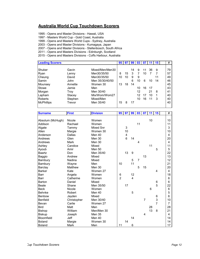## **Australia World Cup Touchdown Scorers**

1995 - Opens and Master Divisions - Hawaii, USA

1997 - Masters World Cup - Gold Coast, Australia

1999 - Opens and Masters World Cups - Sydney, Australia

2003 - Opens and Master Divisions - Kumagaya, Japan

2007 - Opens and Master Divisions - Stellenbosch, South Africa

2011 - Opens and Masters Divisions - Edinburgh, Scotland

2015 - Opens and Masters Divisions - Coffs Harbour, Australia

| <b>Leading Scorers</b> |         |                 | 95 <sub>1</sub> | 97 | 99 | 03 |    |    | 15 | #  |
|------------------------|---------|-----------------|-----------------|----|----|----|----|----|----|----|
|                        |         |                 |                 |    |    |    |    |    |    |    |
| Shuker                 | Gavin   | Mixed/Men/Men30 |                 |    | 14 | 9  | 11 | 36 | 9  | 79 |
| Ryan                   | Lenny   | Men30/35/50     | 8               | 15 | 3  |    | 10 |    |    | 57 |
| Cheung                 | David   | Men30/35/50     | 10              | 10 | 9  | 9  |    |    | 11 | 49 |
| Samin                  | John    | Men 35/30/40/50 |                 |    | 6  | 10 | 6  | 10 | 14 | 46 |
| Mounsey                | Annette | Women 30        | 13              | 18 | 14 |    |    |    |    | 45 |
| Stowe                  | Jamie   | Men             |                 |    |    | 10 | 16 | 17 |    | 43 |
| Morgan                 | Trov    | Men 30/40       |                 |    |    | 12 |    | 21 | 8  | 41 |
| Lapham                 | Stacey  | Mix/Wom/Wom27   |                 |    |    | 12 | 17 | 10 | 1  | 40 |
| <b>Roberts</b>         | Stephen | Mixed/Men       |                 |    |    | 10 | 16 | 11 | 3  | 40 |
| <b>McPhillips</b>      | Trevor  | Men 35/40       | 15              | 8  | 17 |    |    |    |    | 40 |
|                        |         |                 |                 |    |    |    |    |    |    |    |

| <b>Surname</b>   | <b>First</b> | <b>Division</b>  | 95             | 97 | 99             | 03             | 07             | 11 | 15             | #              |
|------------------|--------------|------------------|----------------|----|----------------|----------------|----------------|----|----------------|----------------|
|                  |              |                  |                |    |                |                |                |    |                |                |
| Absolum (McHugh) | Nicole       | Women            |                |    |                |                |                | 10 |                | 10             |
| Addison          | Rachael      | Women            |                |    |                | 11             |                |    |                | 11             |
| Algate           | Tammy        | <b>Mixed Snr</b> |                | 3  |                |                |                |    |                | 3              |
| Allen            | Margie       | Women 30         |                | 10 |                |                |                |    |                | 10             |
| Anderson         | Dallas       | Men 40           |                | 4  |                |                |                |    |                | 4              |
| Andrews          | Glen         | Men 30           |                | 6  | 14             |                |                |    |                | 20             |
| Andrews          | Mark         | Men 30           |                |    |                | 4              |                |    |                | 4              |
| Ashley           | Candice      | Mixed            |                |    |                |                |                | 11 |                | 11             |
| Ayoub            | Amir         | <b>Men 50</b>    |                |    |                |                |                |    | 5              | 5              |
| <b>Baartz</b>    | Don          | Men 35/40        |                | 13 | 9              |                |                |    |                | 22             |
| Baggio           | Andrew       | Mixed            |                |    |                |                | 13             |    |                | 13             |
| Bambury          | Nadina       | Mixed            |                |    | 5              | $\overline{7}$ |                |    |                | 12             |
| Bambury          | Wayne        | Men              | 10             |    | 11             |                |                |    |                | 21             |
| Barclay          | Matthew      | Men 30           |                |    |                | 5              | 15             |    |                | 20             |
| Barker           | Kate         | Women 27         |                |    |                |                |                |    | 4              | 4              |
| Barr             | Angela       | Women            | 6              |    | 12             |                |                |    |                | 18             |
| <b>Barr</b>      | Catherine    | Women            | $\overline{2}$ |    | $\overline{4}$ |                |                |    |                | 6              |
| Barton           | Daniel       | Mixed            |                |    |                |                |                |    | 6              | 6              |
| Beale            | Shane        | Men 35/50        |                | 17 |                |                |                |    | 5              | 22             |
| <b>Beck</b>      | Nicole       | Women            |                |    |                |                |                | 6  |                | 6              |
| Behnke           | Robert       | Men 40           |                |    | 5              |                |                |    |                | 5              |
| Benbow           | Jayden       | Mixed            |                |    |                |                |                |    | 6              | 6              |
| Benfield         | Christopher  | Men 30/40        |                |    |                |                | $\overline{7}$ |    | 3              | 10             |
| Bevan            | Carlie       | Women 27         |                |    |                |                |                |    | $\overline{7}$ | $\overline{7}$ |
| <b>Bird</b>      | Matt         | Men              |                |    |                |                |                | 28 |                | 28             |
| Bishop           | William      | Men/Men 30       |                |    |                |                |                | 13 | 8              | 21             |
| <b>Biskup</b>    | Joseph       | <b>Men 35</b>    |                |    |                |                | 4              |    |                | 4              |
| Bloomfield       | Jeff         | Men 40           |                |    | 14             |                |                |    |                | 14             |
| Boland           | Margie       | Women 30         |                | 14 |                |                |                |    |                | 14             |
| <b>Boland</b>    | <b>Mark</b>  | Men              | 11             |    | 6              |                |                |    |                | 17             |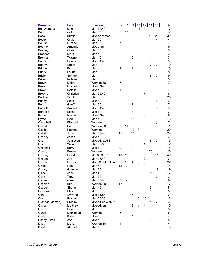| <b>Surname</b>    | <b>First</b>   | <b>Division</b>  | 95             | 97             | 99             | 03                      | $\overline{07}$         | 11              | 15             | #               |
|-------------------|----------------|------------------|----------------|----------------|----------------|-------------------------|-------------------------|-----------------|----------------|-----------------|
| Bonavantura       | Mitch          | Men 35/40        |                |                |                | 12                      | 5                       |                 |                | $\overline{17}$ |
| <b>Bond</b>       | Colin          | Men 35           |                | 12             |                |                         |                         |                 |                | 12              |
| <b>Boss</b>       | Kristin        | Mixed/Women      |                |                |                |                         |                         | 19              | 20             | 39              |
| <b>Boston</b>     | Craig          | Men 30           |                |                |                |                         |                         |                 | 4              | 4               |
| <b>Bourke</b>     | Micahel        | <b>Men 35</b>    | $\overline{7}$ |                |                |                         |                         |                 |                | $\overline{7}$  |
| Bourne            | Amanda         | <b>Mixed Snr</b> |                |                |                |                         | 9                       |                 |                | 9               |
| <b>Bradley</b>    | Chris          | Men 35           |                |                |                | 3                       |                         |                 |                | 3               |
| <b>Brandon</b>    | <b>Mark</b>    | Men 40           | 6              |                |                |                         |                         |                 |                | 6               |
| <b>Brennan</b>    | Wayne          | Men 40           |                |                | 3              |                         |                         |                 |                | 3               |
| <b>Bretherton</b> | Danny          | <b>Mixed Snr</b> |                |                |                |                         |                         | 8               |                | 8               |
| <b>Brierty</b>    | <b>Stuart</b>  | Men              |                |                |                |                         |                         | $\overline{7}$  | 3              | 10              |
| <b>Brindell</b>   | <b>Bob</b>     | Men              | 9              |                | 1              |                         |                         |                 |                | 10              |
| <b>Brindell</b>   | Laurie         | Men 30           |                |                | 8              |                         |                         |                 |                | 8               |
| <b>Brisby</b>     | Samuel         | Men              |                |                |                |                         |                         | $6\phantom{1}6$ | 3              | 9               |
| <b>Briten</b>     | Robbie         | Men 30           |                |                |                | 3                       |                         |                 |                | 3               |
| <b>Brown</b>      | Debra          | Women 30         | $\overline{7}$ |                |                |                         |                         |                 |                | 7               |
| <b>Brown</b>      | Mitchel        | Mixed Snr        |                |                |                |                         |                         |                 | 1              | 1               |
| <b>Brown</b>      | <b>Natalie</b> | Mixed            | $\overline{4}$ |                |                |                         |                         |                 |                | 4               |
| <b>Browne</b>     | Christian      | Men 35/40        |                |                |                |                         | $\overline{7}$          |                 | $\mathbf{1}$   | 8               |
| <b>Buckley</b>    | Scott          | Men              |                |                |                |                         |                         | 10              | 16             | 26              |
| <b>Bundy</b>      | Scott          | Mixed            |                |                |                |                         |                         |                 | 6              | 6               |
| <b>Bunt</b>       | Geoff          | <b>Men 35</b>    |                |                | $\overline{7}$ |                         |                         |                 |                | 7               |
| <b>Burdett</b>    | Amanda         | <b>Mixed Snr</b> |                |                |                |                         |                         |                 | 3              | 3               |
|                   | Elisha         | Mixed            |                |                | 3              |                         |                         |                 |                | 3               |
| <b>Burgess</b>    | Rachel         | <b>Mixed Snr</b> |                |                |                |                         | 6                       |                 |                | 6               |
| <b>Byrne</b>      |                |                  |                |                |                |                         |                         |                 |                |                 |
| <b>Byrne</b>      | Rod            | Men 40           |                |                | 13             |                         |                         |                 |                | 13              |
| Campbell          | Elizabeth      | Women            |                | 11             |                |                         |                         |                 | 7              | $\overline{7}$  |
| Carroll           | Sue            | Women 30         |                |                |                |                         |                         |                 |                | 11              |
| Castle            | Katrina        | Women            |                |                | 12             | 8                       |                         |                 |                | 20              |
| Cattell           | John           | Men 35/40        | 11             |                | 13             |                         |                         |                 |                | 24              |
| Chaffey           | Jason          | Mixed            |                |                | 6              |                         |                         |                 |                | 6               |
| Chan              | Jamieson       | Mixed/Mixed Snr  |                |                |                |                         |                         | 8               | 7              | 15              |
| Chan              | William        | Men 30/35        |                |                |                |                         | 4                       | 8               |                | 12              |
| Chenhall          | Barry          | Mixed            | 9              |                | 9              |                         |                         |                 |                | 18              |
| Cherry            | Emilee         | Women            |                |                |                |                         |                         | 20              |                | 20              |
| Cheung            | David          | Men30/35/50      | 10             | 10             | 9              | 9                       |                         |                 | 11             | 49              |
| Cheung            | <b>Jeff</b>    | Men 35/40        |                |                |                | $\overline{\mathbf{4}}$ | $\overline{\mathbf{c}}$ |                 |                | 6               |
| Cheung            | Michael        | Mixed30/Men35/40 |                | 12             | 4              | 3                       | 3                       |                 |                | 22              |
| Chilby            | Ron            | Men 40           | 12             | $\overline{2}$ |                |                         |                         |                 |                | 14              |
| Clancy            | Graeme         | Men 30           |                |                |                |                         |                         |                 | 19             | 19              |
| Clark             | John           | Men 40           |                |                |                |                         |                         | 17              |                | 17              |
| Clark             | Troy           | Men 35           |                |                |                |                         |                         |                 | 2              | $\overline{a}$  |
| Clarke            | Garry          | Men 35/40        | $\overline{7}$ | $\overline{c}$ |                |                         |                         |                 |                | 9               |
| Coghlan           | Kim            | Women 30         | 17             |                |                |                         |                         |                 |                | 17              |
| Cooper            | Shane          | Men 40           |                |                |                |                         |                         | 5               |                | 5               |
| Corkeron          | Philip         | Men 35           |                |                |                |                         |                         | 5               |                | 5               |
| Corti             | Sylvana        | Mixed Snr        |                |                | 6              |                         |                         |                 |                | 6               |
| Cox               | Russell        | Men 30/35        |                |                |                | 8                       | 10                      |                 |                | 18              |
| Cranage (James)   | <b>Brooke</b>  | Mixed Snr/Wom 27 |                |                |                |                         |                         | $\overline{4}$  | $\overline{c}$ | 6               |
| Curran            | Matthew        | Mixed/Men        |                |                | 9              | $\mathbf{1}$            | 5                       |                 |                | 15              |
| Currie            | Darren         | Men              |                |                | 8              |                         |                         |                 |                | 8               |
| Curtis            | Dominque       | Women            | 5              |                |                |                         |                         |                 |                | $\mathbf 5$     |
| Curtis            | Katie          | Mixed            |                |                | 4              |                         |                         |                 |                | 4               |
| Dacey-Aiken       | Zoe            | Mixed            |                |                |                |                         |                         | 5               |                | 5               |
| Dack              | Maria          | Women 30         | 4              |                |                |                         |                         |                 |                | 4               |
| Daizli            | Ahmad          | Men 30           |                |                |                |                         |                         | 18              |                | 18              |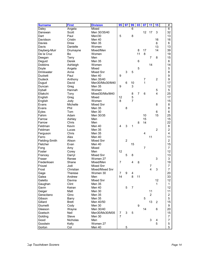| <b>Surname</b> | <b>First</b>   | <b>Division</b>  | 95             | 97             | 99             | 03             | 07             | 11             | 15             | #              |
|----------------|----------------|------------------|----------------|----------------|----------------|----------------|----------------|----------------|----------------|----------------|
| Daley          | Angela         | Mixed            |                |                | 6              |                |                |                |                | $\overline{6}$ |
| Danswan        | Scott          | Men 30/35/40     |                |                |                |                | 12             | 17             | 3              | 32             |
| Dart           | Paul           | Men/30           | 5              |                | 8              |                |                |                |                | 13             |
| Davidson       | Cristin        | Men 40           |                |                |                |                |                |                | 16             | 16             |
| Davies         | <b>Drew</b>    | <b>Men 35</b>    |                |                |                |                |                |                | 6              | 6              |
| Davis          | Danielle       | Women            |                |                |                |                |                |                | 13             | 13             |
| Dayberg-Muir   | Drumayne       | Mixed/Men        |                |                |                | 8              | 17             |                | 14             | 39             |
| De la Cruz     | Bo             | Women            |                |                |                | 11             | 8              |                |                | 19             |
| Deegan         | Terry          | Men              |                |                |                |                |                | 7              | 8              | 15             |
| Deguid         | Derek          | Men 35           |                |                |                | 6              |                |                |                | 6              |
| <b>Dobbins</b> | Ashleigh       | Women            |                |                |                |                |                | 14             |                | 14             |
| Doyle          | Angela         | Mixed            |                |                |                | 5              |                |                |                | 5              |
| Drinkwater     | Anne           | Mixed Snr        |                | 3              | 5              |                |                |                |                | 8              |
| <b>Duckett</b> | Paul           | Men 40           | 9              |                |                |                |                |                |                | 9              |
| <b>Dudeck</b>  | Anthony        | Men 35/40        |                |                |                |                | 7              |                | $\overline{c}$ | 9              |
| Dugud          | David          | Men30/Mix30/M40  |                | 6              | 10             |                | 1              |                |                | 17             |
| Duncan         | Greg           | <b>Men 35</b>    | 9              |                | 3              |                |                |                |                | 12             |
| Dyball         | Hannah         | Women            |                |                |                |                |                |                | 5              | 5              |
| Eltakchi       | Tony           | Mixed30/Mix/M40  |                |                | 8              | $\overline{7}$ | 6              |                | $\overline{4}$ | 25             |
| English        | Greg           | Mixed            | 12             |                | 5              |                |                |                |                | 17             |
| English        | Jody           | Women            | 8              |                | $\overline{7}$ |                |                |                |                | 15             |
| Evans          | Michelle       | <b>Mixed Snr</b> |                |                |                |                |                |                | 8              | 8              |
| Evans          | Phil           | <b>Men 35</b>    |                | 8              |                |                |                |                |                | 8              |
| <b>Eyles</b>   | Tom            | Men 30           |                |                |                |                |                |                | 6              | 6              |
| Fahim          | Adam           | Men 30/35        |                |                |                |                | 10             |                | 15             | 25             |
| Farrow         |                |                  |                |                |                |                | 15             |                |                | 15             |
| Farrow         | Ashley         | Men<br>Men       |                |                |                | 8              | 14             |                |                | 22             |
| Feldman        | Chris<br>Kevin | Men 40           | 4              | 3              | 1              |                |                |                |                | 8              |
| Feldman        |                | <b>Men 35</b>    |                |                |                |                |                |                | $\overline{c}$ | $\overline{c}$ |
|                | Lucas          |                  |                |                |                |                | $\overline{4}$ |                |                | 4              |
| Ferguson       | Chris<br>Alex  | Men 35           |                |                |                |                |                | 11             |                |                |
| Ferro          |                | Men 40           |                | $\overline{2}$ |                |                |                |                |                | 11             |
| Fielding-Smith | Alison         | Mixed Snr        |                |                |                |                |                |                |                | $\overline{c}$ |
| Fletcher       | Evan           | Men 40           |                |                | 15             |                |                |                |                | 15             |
| Fong           | Amy            | Mixed            |                |                |                |                | $\overline{7}$ |                |                | $\overline{7}$ |
| Foster         | Corey          | Men              | 12             |                |                |                |                |                |                | 12             |
| Francey        | Darryl         | Mixed Snr        |                | 5              | 8              |                |                |                |                | 13             |
| Fraser         | Renee          | Women 27         |                |                |                |                |                |                | 3              | 3              |
| Frederiksen    | Shane          | Mixed/Men        | $\overline{7}$ |                | 4              | 8              |                |                |                | 19             |
| Frizzel        | Jodi           | <b>Mixed Snr</b> |                |                |                |                |                | 7              |                | $\overline{7}$ |
| Frost          | Christian      | Mixed/Mixed Snr  |                |                |                |                |                | 4              | 3              | $\overline{7}$ |
| Gage           | Therese        | Women 30         | 7              | 9              | 4              |                |                |                |                | 20             |
| Galea          | Andrew         | Men              | 14             |                | 8              | 11             |                |                |                | 33             |
| Galetto        | Davina         | Mixed Snr        |                |                |                |                |                |                | 12             | 12             |
| Gaughan        | Clint          | Men 35           |                |                |                |                |                |                | $\mathbf{1}$   | 1.             |
| Gavin          | Keiran         | Men 40           |                | 5              | $\overline{7}$ |                |                |                |                | 12             |
| Geiger         | Matt           | Men 30           |                |                |                |                |                | 11             |                | 11             |
| Geracitano     | Gino           | Men 35           |                |                |                |                |                | $\overline{2}$ |                | $\overline{c}$ |
| Gibson         | Barry          | Men 35           |                |                |                |                | 5              |                |                | 5              |
| Gillard        | <b>Brett</b>   | Men 40/50        |                |                |                |                |                | 13             | $\overline{2}$ | 15             |
| Giumelli       | Cody           | Men 30           |                |                |                | 9              |                |                |                | 9              |
| Gleeson        | Wayne          | Men 30/40        |                |                |                |                | 14             |                | 6              | 20             |
| Goetsch        | Neil           | Men30/Mx30/M35   | 7              | 3              | 5              |                |                |                |                | 15             |
| Golding        | Steve          | Men 30           | $\overline{7}$ |                |                |                |                |                |                | $\overline{7}$ |
| Good           | Nicholas       | Men              |                |                |                |                |                | 3              | 4              | 7              |
| Goodwin        | Kelly          | Women 27         |                |                |                |                |                |                | 5              | 5              |
| Gorton         | Col            | Men 40           |                | 5              |                |                |                |                |                | 5              |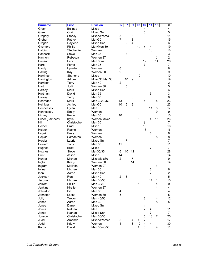| <b>Surname</b>   | <b>First</b>   | <b>Division</b>  | 95             | 97             | 99             | 03 | $\overline{\mathbf{07}}$ | 11             | 15           | #              |
|------------------|----------------|------------------|----------------|----------------|----------------|----|--------------------------|----------------|--------------|----------------|
| Grech            | <b>Belinda</b> | Mixed            |                |                |                |    | 4                        |                |              | $\overline{4}$ |
| Green            | Craig          | Mixed Snr        |                |                |                |    | 5                        |                |              | 5              |
| Gregory          | Staecy         | Mixed/Wom30      | 3              |                | 8              |    |                          |                |              | 11             |
| Grehan           | Patrick        | Men/30           | $\overline{7}$ |                | 8              |    |                          |                |              | 15             |
| Grogan           | Haylene        | <b>Mixed Snr</b> |                | $\overline{c}$ | $\overline{4}$ |    |                          |                |              | 6              |
| Gyemore          | Phillip        | Men/Men 30       |                |                |                | 10 | 5                        | 4              |              | 19             |
| Halpin           | Stephanie      | Women            |                |                |                |    |                          | 18             |              | 18             |
| Hancock          | <b>Steve</b>   | <b>Men 35</b>    |                | 3              |                |    |                          |                |              | 3              |
| Hannon           | Rebecca        | Women 27         |                |                |                |    |                          |                | 2            | $\overline{2}$ |
| Hanson           | Lars           | Men 30/40        |                |                |                |    | 12                       |                | 14           | 26             |
| Harb             | Ferno          | <b>Men 35</b>    |                |                |                |    | 7                        |                |              | $\overline{7}$ |
| Hardy            | Lynelle        | Women            | 6              |                |                |    |                          |                |              | 6              |
| Harling          | Kay            | Women 30         | 9              |                |                |    |                          |                |              | 9              |
| Harriman         | Sharlene       | Mixed            |                |                |                | 10 |                          |                |              | 10             |
| Harrington       | Adrian         | Mixed30/Men30    |                | 10             | 9              |    |                          |                |              | 19             |
| Harrison         | Terry          | Men 40           | $\overline{2}$ |                |                |    |                          |                |              | $\overline{2}$ |
| Hart             | Jodi           | Women 30         |                | 5              |                |    |                          |                |              | 5              |
| Hartley          | Mark           | Mixed Snr        |                |                |                |    | 6                        |                |              | 6              |
| Hartmann         | David          | Men 35           |                |                |                |    |                          | 3              |              | 3              |
| Harvey           | Terry          | <b>Men 35</b>    |                |                | 6              |    |                          |                |              | 6              |
| Hearnden         | <b>Mark</b>    | Men 30/40/50     | 13             |                |                |    | 5                        |                | 5            | 23             |
| Heiniger         | Ashley         | Men/30           | 10             | 5              | 8              |    |                          |                |              | 23             |
| Hennessey        | Dylan          | Men              |                |                |                |    |                          | 11             | 6            | 17             |
| Hennessey        | Emily          | Women            |                |                |                |    |                          |                | 9            | 9              |
| Hickey           | Kevin          | <b>Men 35</b>    | 10             |                |                |    |                          |                |              | 10             |
| Hilder (Lambert) | Kylie          | Women/Mixed      |                |                |                | 5  | 6                        | 4              | 11           | 26             |
| Hill             | Christopher    | Men 30           |                |                |                |    | $\overline{7}$           |                |              | $\overline{7}$ |
| Holden           | Brad           | Mixed            |                |                |                |    | 16                       |                |              | 16             |
| Holden           | Rachel         | Women            |                |                |                |    | 16                       |                |              | 16             |
| Hopkin           | Emily          | Women            |                |                |                |    |                          | 6              |              | 6              |
| Hopkin           | Samantha       | Women            |                |                |                |    |                          |                | 8            | 8              |
| Horder           | Laurie         | Mixed Snr        |                | $\overline{7}$ |                |    |                          |                |              | $\overline{7}$ |
| Howard           | Tony           | Men 30           | 11             |                |                |    |                          |                |              | 11             |
| Hughes           | Brett          | Mixed            |                |                |                |    |                          | $\overline{7}$ |              | $\overline{7}$ |
| Hughes           | <b>Steve</b>   | Men30/35         | 6              | 10             | 12             |    |                          |                |              | 28             |
| Hunt             | Jason          | Mixed            | 14             |                |                |    |                          |                |              | 14             |
| Hunter           | Michael        | Mixed/Mix30      | $\overline{2}$ |                | $\overline{7}$ |    |                          |                |              | 9              |
| Inglis           | Kirsty         | Women 30         |                |                | 14             |    |                          |                |              | 14             |
| Ingram           | Melinda        | Women 27         |                |                |                |    |                          |                | $\mathbf{1}$ | 1              |
| Irvine           | Michael        | Men 30           |                |                |                |    |                          | 6              |              | 6              |
| Ison             | Aaron          | Mixed Snr        |                |                |                |    |                          | $\overline{c}$ |              | $\overline{c}$ |
| Jackson          | Ron            | Men 40           | $\overline{c}$ | 3              |                |    |                          |                |              | 5              |
| Jacono           | Michael        | Men 30/35        |                |                |                |    |                          | 14             | $\mathbf{1}$ | 15             |
| Jarrett          | Phillip        | Men 30/40        |                |                |                | 5  |                          |                | 4            | 9              |
| Jenkins          | Kirstie        | Women 27         |                |                |                |    |                          |                | 4            | 4              |
| Johnston         | Bill           | Men 30           | 4              |                |                |    |                          |                |              | 4              |
| Johnston         | Leesa          | Women 30         | 5              |                |                |    |                          |                |              | 5              |
| Jolly            | Trevor         | Men 40/50        |                |                |                |    | 8                        |                | 4            | 12             |
| Jones            | Aaron          | Men 30           |                |                |                |    |                          |                | 5            | 5              |
| Jones            | Darren         | Mixed Snr        |                |                |                |    | $\mathbf{1}$             |                |              | 1              |
| Jones            | Nathan         | Men              |                |                |                |    | $\overline{7}$           | 4              |              | 11             |
| Jones            | Nathan         | Mixed Snr        |                |                |                |    |                          | 7              |              | 7              |
| Jonson           | Christopher    | Men 30/35        |                |                |                |    | 5                        | 13             | 7            | 25             |
| Judd             | Amanda         | Mixed/Women      | 5              |                | 4              | 1  | 7                        |                |              | 17             |
| Judd             | Kristy         | Women            | 4              |                | 8              | 10 | $\overline{4}$           | 4              |              | 30             |
| Kafoa            | David          | Men 35/40/50     |                |                |                | 4  | 3                        |                | 4            | 11             |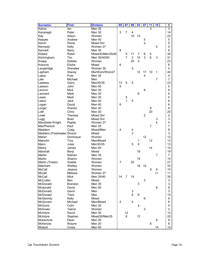| <b>Surname</b>             | <b>First</b>   | <b>Division</b>  | 95             | 97             | 99                      | 03 | 07               | 11             | 15 | #                |
|----------------------------|----------------|------------------|----------------|----------------|-------------------------|----|------------------|----------------|----|------------------|
| Kalms                      | lan            | Men 35           |                |                |                         |    |                  | 3              |    | $\overline{3}$   |
| Kavanagh                   | Peter          | Men 30           | 3              | $\overline{7}$ | 4                       |    |                  |                |    | 14               |
| Kay                        | Alison         | Women            |                |                | 10                      | 13 |                  |                |    | 23               |
| Keayes                     | Andrew         | Men 40           |                |                |                         |    | 5                |                |    | 5                |
| Kelvin                     | Dione          | <b>Mixed Snr</b> |                |                |                         |    | 5                |                |    | 5                |
| Kennedy                    | Kelly          | Women 27         |                |                |                         |    |                  |                | 5  | 5                |
| Kennett                    | <b>Barry</b>   | Men 35           | 8              |                |                         |    |                  |                |    | 8                |
| Kildare                    | Robin          | Mixed30/Men35/40 |                | 5              | 11                      | 7  | 6                | 5              |    | 34               |
| Kitchingham                | Tim            | Men 35/40/50     |                | 7              | $\overline{c}$          | 10 | 3                | 6              | 3  | 31               |
| Knapp                      | Debbie         | Women            |                |                | 20                      | 3  |                  |                |    | 23               |
| Kolovos                    | Elsiha         | Mixed            | 6              |                |                         |    |                  |                |    | 6                |
| Langbridge                 | Sheralee       | Women 30         |                |                | 5                       |    |                  |                |    | 5                |
| Lapham                     | Stacey         | Mix/Wom/Wom27    |                |                |                         | 12 | 17               | 10             | 1  | 40               |
| Latoa                      | Pule           | Men 35           |                |                |                         |    | 4                |                |    | 4                |
| Law                        | Michael        | Men              |                |                |                         |    |                  |                | 7  | 7                |
| Lawless                    | Garry          | Men30/35         | 13             | 5              | 5                       |    |                  |                |    | 23               |
| Lawson                     | John           | Men 40           | 5              |                |                         |    |                  |                |    | 5                |
| Lennon                     | <b>Mick</b>    | Men 35           |                |                |                         |    | 8                |                |    | 8                |
| Leonard                    | Mark           | Men 30           |                |                |                         | 6  |                  |                |    | 6                |
| Lewis                      | Mark           | Men 35           |                | 5              |                         |    |                  |                |    | 5                |
| Liston                     | Jack           | Men 40           |                | 1              | 5                       |    |                  |                |    | 6                |
| Logan                      | David          | Men 40           | 6              |                |                         |    |                  |                |    | 6                |
| Lorger                     | Warren         | Men 30           |                |                |                         |    |                  | 8              |    | 8                |
| Loth                       | Chris          | Men 30           |                |                |                         |    |                  | 20             |    | 20               |
| Lowe                       | Theresa        | Mixed Snr        |                |                |                         |    | $\overline{2}$   |                |    | $\overline{c}$   |
| Lugg                       | <b>Brad</b>    | Mixed Snr        |                |                |                         |    |                  |                | 3  | 3                |
| Macalister-Knight          | Pepita         | Women 27         |                |                |                         |    |                  |                | 4  | 4                |
| MacPherson                 | Paul           | <b>Men 35</b>    |                |                |                         |    |                  | $\overline{7}$ |    | 7                |
| Madders                    | Craig          | Mixed/Men        | 4              |                | 4                       |    |                  |                |    | 8                |
| Madders (Freshwater Sharyn |                | Mixed            |                |                | 3                       |    |                  |                |    | 3                |
| Maher                      | Dominque       | Women            |                |                |                         |    | 12               |                |    | 12               |
| Malcolm                    | Troy           | Men/Mixed        |                |                |                         | 1  |                  | 12             |    | 13               |
| Mann                       | Jules          | Men30/35         |                |                | 5                       | 8  |                  |                |    | 13               |
| <b>Marks</b>               | James          | Men 40           |                |                |                         |    |                  | 14             |    | 14               |
| Marshall                   | Benji          | Mixed            |                |                |                         | 19 |                  |                |    | 19               |
| Martin                     | Nathan         | Men 35           |                |                |                         |    |                  |                | 7  | 7                |
| Martin                     | Sharon         | Women            |                |                |                         | 14 |                  |                |    | 14               |
| Martin (Tirado)            | Giselle        | Women            | $\overline{7}$ |                | 20                      |    |                  |                |    | 27               |
| Matcham                    | Shelley        | Women            |                |                |                         | 18 | 15               |                |    | 33               |
| McCall                     | Jessica        | Women            |                |                |                         |    |                  | 9              |    | 15 <sub>15</sub> |
| Mccall                     | Melissa        | Women 27         |                |                |                         |    |                  |                | 11 | 11               |
| McCall                     | Mick           | Men 35/40        | 14             | 7              | 14                      |    |                  |                |    | 35               |
| McCullen                   | Ben            | Mixed            |                |                |                         |    | 3                |                |    | 3                |
| McDonald                   | <b>Brandon</b> | Men 35           |                |                |                         | 3  |                  |                |    | 3                |
| Mcdonald                   | David          | Men 50           |                |                |                         |    |                  |                | 6  | 6                |
| McDonald                   | Gavin          | Men              |                |                | 3                       |    |                  |                |    | 3                |
| McDonald                   | Trent          | Men              |                |                | 6                       | 9  |                  |                |    | 15               |
| <b>McGennity</b>           | Kelly          | Mixed            |                |                |                         |    | 6                |                |    | 6                |
| McGovern                   | Michael        | Men/Mixed        | $\overline{c}$ |                | $\overline{\mathbf{4}}$ |    |                  |                |    | 6                |
| McGuire                    | Colin          |                  |                |                |                         | 4  |                  |                |    | 4                |
|                            |                | Men 30           |                |                |                         |    |                  |                |    |                  |
| McIlveen                   | Teena          | Women            |                |                |                         |    | $\boldsymbol{2}$ |                |    | $\overline{c}$   |
| McIntyre                   | David          | Men 30           |                | 12<br>8        |                         |    |                  |                |    | 12               |
| McIntyre                   | Stephen        | Mixed30/Men35    |                |                |                         | 12 |                  |                |    | 20               |
| Mckechnie                  | Dean           | Men 30           |                |                |                         |    |                  |                | 8  | 8                |
| McKenzie                   | Wayne          | Men 30           |                |                |                         |    |                  | 8              |    | 8                |
| Mcleod                     | Corey          | Men 40           |                |                |                         |    |                  |                | 14 | 14               |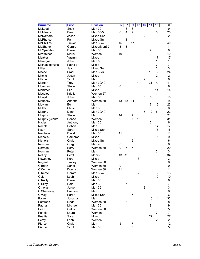| 3<br>$\overline{9}$<br>Scott<br>Men 30<br>6<br>3<br>6<br>$\overline{4}$<br>7<br>Men 35/50<br>20<br>Dean<br>$\overline{2}$<br>Mixed Snr<br>$\overline{c}$<br>Jason<br>Mixed Snr<br>$\mathbf{1}$<br>Pam<br>1<br>8<br>17<br>Trevor<br>Men 35/40<br>15<br>40<br>3<br>8<br>11<br>Gerard<br>Mixed/Men30<br>9<br>Men 35<br>9<br>Darren<br>10<br>10<br>Maria<br>Women<br>Yasmin<br>Mixed<br>17<br>17<br>1<br>John<br><b>Men 50</b><br>1<br>$\overline{7}$<br>Patricia<br>Mixed<br>7<br>3<br>Mixed Snr<br>3<br>Jay<br>6<br>18<br>24<br>Men 30/35<br>Brad<br>$\overline{2}$<br>2<br>Justin<br>Mixed<br>9<br>Scott<br>9<br>Men<br>Men 30/40<br>12<br>21<br>8<br>41<br>Troy<br>6<br><b>Steve</b><br>Men 35<br>6<br>14<br>Elin<br>Mixed<br>14<br>Kristie<br>Women 27<br>1<br>1<br>5<br>5<br>John<br><b>Men 35</b><br>10<br>13<br>18<br>45<br>Annette<br>Women 30<br>14<br>23<br>Men<br>7<br>16<br><b>Ben</b><br>6<br><b>Steve</b><br>Men 30<br>6<br>22<br>5<br>12<br>5<br>Men 30/40<br>Murphy<br>Dean<br>14<br>21<br>7<br>Murphy<br>Steve<br>Men<br>9<br>7<br>15<br>31<br>Women<br>Murphy (Clarke)<br>Renee<br>6<br>Men 30<br>6<br>Anthony<br>Robert<br>17<br>Men<br>17<br>Mixed Snr<br>15<br>15<br>Sarah<br>11<br>11<br>David<br>Men 30<br>9<br>9<br>Mixed<br>Cameron<br>6<br>Nicholls<br>Mixed Snr<br>6<br>Craig<br>Men 40<br>6<br>6<br>Norman<br>Greg<br>9<br>6<br>5<br>20<br>Norman<br>Kerry<br>Women 30<br>3<br>3<br>Peter<br>Men<br>13<br>12<br>34<br>Men/30<br>9<br>Notley<br>Scott<br>3<br>Mixed<br>3<br>Nowothey<br>Kurt<br>Nugent<br>6<br>6<br>Tracey<br>Women 30<br>9<br>O'Brien<br>Sandi<br>9<br>Women 30<br>11<br>11<br>O'Connor<br>Women 30<br>Donna<br>$\overline{7}$<br>6<br>13<br>O'Keefe<br>Men 30/40<br>Gerard<br>10<br>Opie<br>Leah<br>Mixed<br>10<br>O'Reilly<br>6<br>Men 30<br>Darren<br>6<br>$\overline{7}$<br>O'Riley<br>Dale<br>Men 30<br>7<br>3<br>3<br>Ornelas<br>Men 35<br>Jorge<br>O'Shanessy<br>Men<br><b>Brenton</b><br>6<br>6<br>6<br>Karen<br>Mixed Snr<br>Otway<br>6<br>32<br>Palau<br>Jonathan<br>18<br>14<br>Men<br>8<br>Paterson<br>Women 30<br>8<br>Linda<br>Michael<br>Men 35<br>9<br>9<br>Patman<br>5<br>Pearl<br>Cathy<br>Women 30<br>5<br>Peattie<br>Women<br>7<br>Laura<br>7 | <b>Surname</b>    | <b>First</b> | <b>Division</b> | 95 | 97 | 99 | 03 | 07 | 11 | 15 | #  |
|------------------------------------------------------------------------------------------------------------------------------------------------------------------------------------------------------------------------------------------------------------------------------------------------------------------------------------------------------------------------------------------------------------------------------------------------------------------------------------------------------------------------------------------------------------------------------------------------------------------------------------------------------------------------------------------------------------------------------------------------------------------------------------------------------------------------------------------------------------------------------------------------------------------------------------------------------------------------------------------------------------------------------------------------------------------------------------------------------------------------------------------------------------------------------------------------------------------------------------------------------------------------------------------------------------------------------------------------------------------------------------------------------------------------------------------------------------------------------------------------------------------------------------------------------------------------------------------------------------------------------------------------------------------------------------------------------------------------------------------------------------------------------------------------------------------------------------------------------------------------------------------------------------------------------------------------------------------------------------------------------------------------------------------------------------------------------------------------------------------------------------------------------------------------------------------------------------|-------------------|--------------|-----------------|----|----|----|----|----|----|----|----|
|                                                                                                                                                                                                                                                                                                                                                                                                                                                                                                                                                                                                                                                                                                                                                                                                                                                                                                                                                                                                                                                                                                                                                                                                                                                                                                                                                                                                                                                                                                                                                                                                                                                                                                                                                                                                                                                                                                                                                                                                                                                                                                                                                                                                            | McLeod            |              |                 |    |    |    |    |    |    |    |    |
|                                                                                                                                                                                                                                                                                                                                                                                                                                                                                                                                                                                                                                                                                                                                                                                                                                                                                                                                                                                                                                                                                                                                                                                                                                                                                                                                                                                                                                                                                                                                                                                                                                                                                                                                                                                                                                                                                                                                                                                                                                                                                                                                                                                                            | <b>McManus</b>    |              |                 |    |    |    |    |    |    |    |    |
|                                                                                                                                                                                                                                                                                                                                                                                                                                                                                                                                                                                                                                                                                                                                                                                                                                                                                                                                                                                                                                                                                                                                                                                                                                                                                                                                                                                                                                                                                                                                                                                                                                                                                                                                                                                                                                                                                                                                                                                                                                                                                                                                                                                                            | McNamara          |              |                 |    |    |    |    |    |    |    |    |
|                                                                                                                                                                                                                                                                                                                                                                                                                                                                                                                                                                                                                                                                                                                                                                                                                                                                                                                                                                                                                                                                                                                                                                                                                                                                                                                                                                                                                                                                                                                                                                                                                                                                                                                                                                                                                                                                                                                                                                                                                                                                                                                                                                                                            | McPherson         |              |                 |    |    |    |    |    |    |    |    |
|                                                                                                                                                                                                                                                                                                                                                                                                                                                                                                                                                                                                                                                                                                                                                                                                                                                                                                                                                                                                                                                                                                                                                                                                                                                                                                                                                                                                                                                                                                                                                                                                                                                                                                                                                                                                                                                                                                                                                                                                                                                                                                                                                                                                            | <b>McPhillips</b> |              |                 |    |    |    |    |    |    |    |    |
|                                                                                                                                                                                                                                                                                                                                                                                                                                                                                                                                                                                                                                                                                                                                                                                                                                                                                                                                                                                                                                                                                                                                                                                                                                                                                                                                                                                                                                                                                                                                                                                                                                                                                                                                                                                                                                                                                                                                                                                                                                                                                                                                                                                                            | McShane           |              |                 |    |    |    |    |    |    |    |    |
|                                                                                                                                                                                                                                                                                                                                                                                                                                                                                                                                                                                                                                                                                                                                                                                                                                                                                                                                                                                                                                                                                                                                                                                                                                                                                                                                                                                                                                                                                                                                                                                                                                                                                                                                                                                                                                                                                                                                                                                                                                                                                                                                                                                                            | McSpadden         |              |                 |    |    |    |    |    |    |    |    |
|                                                                                                                                                                                                                                                                                                                                                                                                                                                                                                                                                                                                                                                                                                                                                                                                                                                                                                                                                                                                                                                                                                                                                                                                                                                                                                                                                                                                                                                                                                                                                                                                                                                                                                                                                                                                                                                                                                                                                                                                                                                                                                                                                                                                            | McWhirter         |              |                 |    |    |    |    |    |    |    |    |
|                                                                                                                                                                                                                                                                                                                                                                                                                                                                                                                                                                                                                                                                                                                                                                                                                                                                                                                                                                                                                                                                                                                                                                                                                                                                                                                                                                                                                                                                                                                                                                                                                                                                                                                                                                                                                                                                                                                                                                                                                                                                                                                                                                                                            | <b>Meakes</b>     |              |                 |    |    |    |    |    |    |    |    |
|                                                                                                                                                                                                                                                                                                                                                                                                                                                                                                                                                                                                                                                                                                                                                                                                                                                                                                                                                                                                                                                                                                                                                                                                                                                                                                                                                                                                                                                                                                                                                                                                                                                                                                                                                                                                                                                                                                                                                                                                                                                                                                                                                                                                            | Menegus           |              |                 |    |    |    |    |    |    |    |    |
|                                                                                                                                                                                                                                                                                                                                                                                                                                                                                                                                                                                                                                                                                                                                                                                                                                                                                                                                                                                                                                                                                                                                                                                                                                                                                                                                                                                                                                                                                                                                                                                                                                                                                                                                                                                                                                                                                                                                                                                                                                                                                                                                                                                                            | Michaelopoulos    |              |                 |    |    |    |    |    |    |    |    |
|                                                                                                                                                                                                                                                                                                                                                                                                                                                                                                                                                                                                                                                                                                                                                                                                                                                                                                                                                                                                                                                                                                                                                                                                                                                                                                                                                                                                                                                                                                                                                                                                                                                                                                                                                                                                                                                                                                                                                                                                                                                                                                                                                                                                            | Miller            |              |                 |    |    |    |    |    |    |    |    |
|                                                                                                                                                                                                                                                                                                                                                                                                                                                                                                                                                                                                                                                                                                                                                                                                                                                                                                                                                                                                                                                                                                                                                                                                                                                                                                                                                                                                                                                                                                                                                                                                                                                                                                                                                                                                                                                                                                                                                                                                                                                                                                                                                                                                            | Mitchell          |              |                 |    |    |    |    |    |    |    |    |
|                                                                                                                                                                                                                                                                                                                                                                                                                                                                                                                                                                                                                                                                                                                                                                                                                                                                                                                                                                                                                                                                                                                                                                                                                                                                                                                                                                                                                                                                                                                                                                                                                                                                                                                                                                                                                                                                                                                                                                                                                                                                                                                                                                                                            | Mitchell          |              |                 |    |    |    |    |    |    |    |    |
|                                                                                                                                                                                                                                                                                                                                                                                                                                                                                                                                                                                                                                                                                                                                                                                                                                                                                                                                                                                                                                                                                                                                                                                                                                                                                                                                                                                                                                                                                                                                                                                                                                                                                                                                                                                                                                                                                                                                                                                                                                                                                                                                                                                                            | Mitchell          |              |                 |    |    |    |    |    |    |    |    |
|                                                                                                                                                                                                                                                                                                                                                                                                                                                                                                                                                                                                                                                                                                                                                                                                                                                                                                                                                                                                                                                                                                                                                                                                                                                                                                                                                                                                                                                                                                                                                                                                                                                                                                                                                                                                                                                                                                                                                                                                                                                                                                                                                                                                            | Morgan            |              |                 |    |    |    |    |    |    |    |    |
|                                                                                                                                                                                                                                                                                                                                                                                                                                                                                                                                                                                                                                                                                                                                                                                                                                                                                                                                                                                                                                                                                                                                                                                                                                                                                                                                                                                                                                                                                                                                                                                                                                                                                                                                                                                                                                                                                                                                                                                                                                                                                                                                                                                                            | Moroney           |              |                 |    |    |    |    |    |    |    |    |
|                                                                                                                                                                                                                                                                                                                                                                                                                                                                                                                                                                                                                                                                                                                                                                                                                                                                                                                                                                                                                                                                                                                                                                                                                                                                                                                                                                                                                                                                                                                                                                                                                                                                                                                                                                                                                                                                                                                                                                                                                                                                                                                                                                                                            | Mortimer          |              |                 |    |    |    |    |    |    |    |    |
|                                                                                                                                                                                                                                                                                                                                                                                                                                                                                                                                                                                                                                                                                                                                                                                                                                                                                                                                                                                                                                                                                                                                                                                                                                                                                                                                                                                                                                                                                                                                                                                                                                                                                                                                                                                                                                                                                                                                                                                                                                                                                                                                                                                                            | Moseley           |              |                 |    |    |    |    |    |    |    |    |
|                                                                                                                                                                                                                                                                                                                                                                                                                                                                                                                                                                                                                                                                                                                                                                                                                                                                                                                                                                                                                                                                                                                                                                                                                                                                                                                                                                                                                                                                                                                                                                                                                                                                                                                                                                                                                                                                                                                                                                                                                                                                                                                                                                                                            | Moujalli          |              |                 |    |    |    |    |    |    |    |    |
|                                                                                                                                                                                                                                                                                                                                                                                                                                                                                                                                                                                                                                                                                                                                                                                                                                                                                                                                                                                                                                                                                                                                                                                                                                                                                                                                                                                                                                                                                                                                                                                                                                                                                                                                                                                                                                                                                                                                                                                                                                                                                                                                                                                                            | Mounsey           |              |                 |    |    |    |    |    |    |    |    |
|                                                                                                                                                                                                                                                                                                                                                                                                                                                                                                                                                                                                                                                                                                                                                                                                                                                                                                                                                                                                                                                                                                                                                                                                                                                                                                                                                                                                                                                                                                                                                                                                                                                                                                                                                                                                                                                                                                                                                                                                                                                                                                                                                                                                            | Moylan            |              |                 |    |    |    |    |    |    |    |    |
|                                                                                                                                                                                                                                                                                                                                                                                                                                                                                                                                                                                                                                                                                                                                                                                                                                                                                                                                                                                                                                                                                                                                                                                                                                                                                                                                                                                                                                                                                                                                                                                                                                                                                                                                                                                                                                                                                                                                                                                                                                                                                                                                                                                                            | Muller            |              |                 |    |    |    |    |    |    |    |    |
|                                                                                                                                                                                                                                                                                                                                                                                                                                                                                                                                                                                                                                                                                                                                                                                                                                                                                                                                                                                                                                                                                                                                                                                                                                                                                                                                                                                                                                                                                                                                                                                                                                                                                                                                                                                                                                                                                                                                                                                                                                                                                                                                                                                                            |                   |              |                 |    |    |    |    |    |    |    |    |
|                                                                                                                                                                                                                                                                                                                                                                                                                                                                                                                                                                                                                                                                                                                                                                                                                                                                                                                                                                                                                                                                                                                                                                                                                                                                                                                                                                                                                                                                                                                                                                                                                                                                                                                                                                                                                                                                                                                                                                                                                                                                                                                                                                                                            |                   |              |                 |    |    |    |    |    |    |    |    |
|                                                                                                                                                                                                                                                                                                                                                                                                                                                                                                                                                                                                                                                                                                                                                                                                                                                                                                                                                                                                                                                                                                                                                                                                                                                                                                                                                                                                                                                                                                                                                                                                                                                                                                                                                                                                                                                                                                                                                                                                                                                                                                                                                                                                            |                   |              |                 |    |    |    |    |    |    |    |    |
|                                                                                                                                                                                                                                                                                                                                                                                                                                                                                                                                                                                                                                                                                                                                                                                                                                                                                                                                                                                                                                                                                                                                                                                                                                                                                                                                                                                                                                                                                                                                                                                                                                                                                                                                                                                                                                                                                                                                                                                                                                                                                                                                                                                                            | Nader             |              |                 |    |    |    |    |    |    |    |    |
|                                                                                                                                                                                                                                                                                                                                                                                                                                                                                                                                                                                                                                                                                                                                                                                                                                                                                                                                                                                                                                                                                                                                                                                                                                                                                                                                                                                                                                                                                                                                                                                                                                                                                                                                                                                                                                                                                                                                                                                                                                                                                                                                                                                                            | Nakhla            |              |                 |    |    |    |    |    |    |    |    |
|                                                                                                                                                                                                                                                                                                                                                                                                                                                                                                                                                                                                                                                                                                                                                                                                                                                                                                                                                                                                                                                                                                                                                                                                                                                                                                                                                                                                                                                                                                                                                                                                                                                                                                                                                                                                                                                                                                                                                                                                                                                                                                                                                                                                            | <b>Nash</b>       |              |                 |    |    |    |    |    |    |    |    |
|                                                                                                                                                                                                                                                                                                                                                                                                                                                                                                                                                                                                                                                                                                                                                                                                                                                                                                                                                                                                                                                                                                                                                                                                                                                                                                                                                                                                                                                                                                                                                                                                                                                                                                                                                                                                                                                                                                                                                                                                                                                                                                                                                                                                            | Newham            |              |                 |    |    |    |    |    |    |    |    |
|                                                                                                                                                                                                                                                                                                                                                                                                                                                                                                                                                                                                                                                                                                                                                                                                                                                                                                                                                                                                                                                                                                                                                                                                                                                                                                                                                                                                                                                                                                                                                                                                                                                                                                                                                                                                                                                                                                                                                                                                                                                                                                                                                                                                            | <b>Nicholls</b>   |              |                 |    |    |    |    |    |    |    |    |
|                                                                                                                                                                                                                                                                                                                                                                                                                                                                                                                                                                                                                                                                                                                                                                                                                                                                                                                                                                                                                                                                                                                                                                                                                                                                                                                                                                                                                                                                                                                                                                                                                                                                                                                                                                                                                                                                                                                                                                                                                                                                                                                                                                                                            |                   |              |                 |    |    |    |    |    |    |    |    |
|                                                                                                                                                                                                                                                                                                                                                                                                                                                                                                                                                                                                                                                                                                                                                                                                                                                                                                                                                                                                                                                                                                                                                                                                                                                                                                                                                                                                                                                                                                                                                                                                                                                                                                                                                                                                                                                                                                                                                                                                                                                                                                                                                                                                            |                   |              |                 |    |    |    |    |    |    |    |    |
|                                                                                                                                                                                                                                                                                                                                                                                                                                                                                                                                                                                                                                                                                                                                                                                                                                                                                                                                                                                                                                                                                                                                                                                                                                                                                                                                                                                                                                                                                                                                                                                                                                                                                                                                                                                                                                                                                                                                                                                                                                                                                                                                                                                                            |                   |              |                 |    |    |    |    |    |    |    |    |
|                                                                                                                                                                                                                                                                                                                                                                                                                                                                                                                                                                                                                                                                                                                                                                                                                                                                                                                                                                                                                                                                                                                                                                                                                                                                                                                                                                                                                                                                                                                                                                                                                                                                                                                                                                                                                                                                                                                                                                                                                                                                                                                                                                                                            | Norman            |              |                 |    |    |    |    |    |    |    |    |
|                                                                                                                                                                                                                                                                                                                                                                                                                                                                                                                                                                                                                                                                                                                                                                                                                                                                                                                                                                                                                                                                                                                                                                                                                                                                                                                                                                                                                                                                                                                                                                                                                                                                                                                                                                                                                                                                                                                                                                                                                                                                                                                                                                                                            |                   |              |                 |    |    |    |    |    |    |    |    |
|                                                                                                                                                                                                                                                                                                                                                                                                                                                                                                                                                                                                                                                                                                                                                                                                                                                                                                                                                                                                                                                                                                                                                                                                                                                                                                                                                                                                                                                                                                                                                                                                                                                                                                                                                                                                                                                                                                                                                                                                                                                                                                                                                                                                            |                   |              |                 |    |    |    |    |    |    |    |    |
|                                                                                                                                                                                                                                                                                                                                                                                                                                                                                                                                                                                                                                                                                                                                                                                                                                                                                                                                                                                                                                                                                                                                                                                                                                                                                                                                                                                                                                                                                                                                                                                                                                                                                                                                                                                                                                                                                                                                                                                                                                                                                                                                                                                                            |                   |              |                 |    |    |    |    |    |    |    |    |
|                                                                                                                                                                                                                                                                                                                                                                                                                                                                                                                                                                                                                                                                                                                                                                                                                                                                                                                                                                                                                                                                                                                                                                                                                                                                                                                                                                                                                                                                                                                                                                                                                                                                                                                                                                                                                                                                                                                                                                                                                                                                                                                                                                                                            |                   |              |                 |    |    |    |    |    |    |    |    |
|                                                                                                                                                                                                                                                                                                                                                                                                                                                                                                                                                                                                                                                                                                                                                                                                                                                                                                                                                                                                                                                                                                                                                                                                                                                                                                                                                                                                                                                                                                                                                                                                                                                                                                                                                                                                                                                                                                                                                                                                                                                                                                                                                                                                            |                   |              |                 |    |    |    |    |    |    |    |    |
|                                                                                                                                                                                                                                                                                                                                                                                                                                                                                                                                                                                                                                                                                                                                                                                                                                                                                                                                                                                                                                                                                                                                                                                                                                                                                                                                                                                                                                                                                                                                                                                                                                                                                                                                                                                                                                                                                                                                                                                                                                                                                                                                                                                                            |                   |              |                 |    |    |    |    |    |    |    |    |
|                                                                                                                                                                                                                                                                                                                                                                                                                                                                                                                                                                                                                                                                                                                                                                                                                                                                                                                                                                                                                                                                                                                                                                                                                                                                                                                                                                                                                                                                                                                                                                                                                                                                                                                                                                                                                                                                                                                                                                                                                                                                                                                                                                                                            |                   |              |                 |    |    |    |    |    |    |    |    |
|                                                                                                                                                                                                                                                                                                                                                                                                                                                                                                                                                                                                                                                                                                                                                                                                                                                                                                                                                                                                                                                                                                                                                                                                                                                                                                                                                                                                                                                                                                                                                                                                                                                                                                                                                                                                                                                                                                                                                                                                                                                                                                                                                                                                            |                   |              |                 |    |    |    |    |    |    |    |    |
|                                                                                                                                                                                                                                                                                                                                                                                                                                                                                                                                                                                                                                                                                                                                                                                                                                                                                                                                                                                                                                                                                                                                                                                                                                                                                                                                                                                                                                                                                                                                                                                                                                                                                                                                                                                                                                                                                                                                                                                                                                                                                                                                                                                                            |                   |              |                 |    |    |    |    |    |    |    |    |
|                                                                                                                                                                                                                                                                                                                                                                                                                                                                                                                                                                                                                                                                                                                                                                                                                                                                                                                                                                                                                                                                                                                                                                                                                                                                                                                                                                                                                                                                                                                                                                                                                                                                                                                                                                                                                                                                                                                                                                                                                                                                                                                                                                                                            |                   |              |                 |    |    |    |    |    |    |    |    |
|                                                                                                                                                                                                                                                                                                                                                                                                                                                                                                                                                                                                                                                                                                                                                                                                                                                                                                                                                                                                                                                                                                                                                                                                                                                                                                                                                                                                                                                                                                                                                                                                                                                                                                                                                                                                                                                                                                                                                                                                                                                                                                                                                                                                            |                   |              |                 |    |    |    |    |    |    |    |    |
|                                                                                                                                                                                                                                                                                                                                                                                                                                                                                                                                                                                                                                                                                                                                                                                                                                                                                                                                                                                                                                                                                                                                                                                                                                                                                                                                                                                                                                                                                                                                                                                                                                                                                                                                                                                                                                                                                                                                                                                                                                                                                                                                                                                                            |                   |              |                 |    |    |    |    |    |    |    |    |
|                                                                                                                                                                                                                                                                                                                                                                                                                                                                                                                                                                                                                                                                                                                                                                                                                                                                                                                                                                                                                                                                                                                                                                                                                                                                                                                                                                                                                                                                                                                                                                                                                                                                                                                                                                                                                                                                                                                                                                                                                                                                                                                                                                                                            |                   |              |                 |    |    |    |    |    |    |    |    |
|                                                                                                                                                                                                                                                                                                                                                                                                                                                                                                                                                                                                                                                                                                                                                                                                                                                                                                                                                                                                                                                                                                                                                                                                                                                                                                                                                                                                                                                                                                                                                                                                                                                                                                                                                                                                                                                                                                                                                                                                                                                                                                                                                                                                            |                   |              |                 |    |    |    |    |    |    |    |    |
|                                                                                                                                                                                                                                                                                                                                                                                                                                                                                                                                                                                                                                                                                                                                                                                                                                                                                                                                                                                                                                                                                                                                                                                                                                                                                                                                                                                                                                                                                                                                                                                                                                                                                                                                                                                                                                                                                                                                                                                                                                                                                                                                                                                                            |                   |              |                 |    |    |    |    |    |    |    |    |
|                                                                                                                                                                                                                                                                                                                                                                                                                                                                                                                                                                                                                                                                                                                                                                                                                                                                                                                                                                                                                                                                                                                                                                                                                                                                                                                                                                                                                                                                                                                                                                                                                                                                                                                                                                                                                                                                                                                                                                                                                                                                                                                                                                                                            |                   |              |                 |    |    |    |    |    |    |    |    |
|                                                                                                                                                                                                                                                                                                                                                                                                                                                                                                                                                                                                                                                                                                                                                                                                                                                                                                                                                                                                                                                                                                                                                                                                                                                                                                                                                                                                                                                                                                                                                                                                                                                                                                                                                                                                                                                                                                                                                                                                                                                                                                                                                                                                            |                   |              |                 |    |    |    |    |    |    |    |    |
|                                                                                                                                                                                                                                                                                                                                                                                                                                                                                                                                                                                                                                                                                                                                                                                                                                                                                                                                                                                                                                                                                                                                                                                                                                                                                                                                                                                                                                                                                                                                                                                                                                                                                                                                                                                                                                                                                                                                                                                                                                                                                                                                                                                                            | Peattie           | Sarah        | Mixed           |    |    |    |    |    | 27 |    | 27 |
| $\overline{c}$<br>$\overline{a}$<br>Leah<br>Women                                                                                                                                                                                                                                                                                                                                                                                                                                                                                                                                                                                                                                                                                                                                                                                                                                                                                                                                                                                                                                                                                                                                                                                                                                                                                                                                                                                                                                                                                                                                                                                                                                                                                                                                                                                                                                                                                                                                                                                                                                                                                                                                                          | Percy             |              |                 |    |    |    |    |    |    |    |    |
| 12<br>5<br>$\overline{7}$<br>Craig<br>Men                                                                                                                                                                                                                                                                                                                                                                                                                                                                                                                                                                                                                                                                                                                                                                                                                                                                                                                                                                                                                                                                                                                                                                                                                                                                                                                                                                                                                                                                                                                                                                                                                                                                                                                                                                                                                                                                                                                                                                                                                                                                                                                                                                  | Pierce            |              |                 |    |    |    |    |    |    |    |    |
| Men 30<br>5<br>5<br>Scott                                                                                                                                                                                                                                                                                                                                                                                                                                                                                                                                                                                                                                                                                                                                                                                                                                                                                                                                                                                                                                                                                                                                                                                                                                                                                                                                                                                                                                                                                                                                                                                                                                                                                                                                                                                                                                                                                                                                                                                                                                                                                                                                                                                  | Pierce            |              |                 |    |    |    |    |    |    |    |    |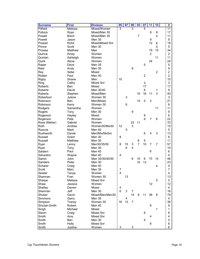| <b>Surname</b>     | <b>First</b>   | <b>Division</b> | 95                  | 97 | 99             | 03             | $\overline{07}$ | 11               | 15             | #               |
|--------------------|----------------|-----------------|---------------------|----|----------------|----------------|-----------------|------------------|----------------|-----------------|
| Pitfield           | Melissa        | Mixed/Women     | 3                   |    | 3              |                | 5               |                  |                | $\overline{11}$ |
| Pollock            | Ryan           | Mixed/Men 30    |                     |    |                |                |                 | 8                | 9              | 17              |
| Powell             | <b>Brent</b>   | Mixed/Men 35    |                     |    |                | 7              |                 |                  | 4              | 11              |
| Powell             | Jason          | <b>Men 35</b>   |                     |    |                |                |                 | 9                |                | 9               |
| Prasad             | Rohit          | Mixed/Mixed Snr |                     |    |                |                |                 | 12               | 6              | 18              |
| Prince             | Scott          | Men 30          |                     |    |                |                |                 |                  | 5              | 5               |
| Prowse             | Matthew        | Men             |                     |    |                |                |                 | 19               | 15             | 34              |
| Quince             | Kirsty         | Women           |                     |    |                |                |                 | $\overline{2}$   |                | $\overline{2}$  |
| Quinlan            | Ashleigh       | Women           |                     |    |                |                |                 |                  | 11             | 11              |
| Quirk              | Alicia         | Women           |                     |    |                |                |                 | 24               |                | 24              |
| Raper              | Dave           | Men 35          |                     |    |                |                | 5               |                  |                | 5               |
| Reid               | Andy           | Men 35          |                     |    | 9              |                |                 |                  |                | 9               |
| Rey                | Sebe           | Mixed           |                     |    |                |                |                 |                  | $\overline{c}$ | $\overline{2}$  |
| Ridder             | Paul           | Men 40          |                     |    |                |                | $\overline{c}$  |                  |                | $\overline{2}$  |
| <b>Rigby</b>       | Shane          | Men             | 10                  |    |                |                |                 |                  |                | 10              |
| Ring               | Cathy          | Mixed Snr       |                     |    |                |                | 3               |                  |                | 3               |
| <b>Roberts</b>     | Ben            | Mixed           |                     |    |                |                | 17              |                  |                | 17              |
| <b>Roberts</b>     | David          | Men 30/40       |                     |    |                |                | 8               |                  | 1              | 9               |
| Roberts            | Stephen        | Mixed/Men       |                     |    |                | 10             | 16              | 11               | 3              | 40              |
| Robertson          | Julene         | Women 30        |                     | 3  |                |                |                 |                  |                | 3               |
| Robinson           | <b>Ben</b>     | Men/Mixed       |                     |    |                | 14             | 5               | $\overline{2}$   |                | 21              |
| Robinson           | Kerry          | Women 30        |                     | 6  |                |                |                 |                  |                | 6               |
| Rodgers            | Samantha       | Women           |                     |    |                |                |                 |                  | 11             | 11              |
| Rogers             | Tony           | Men 30          |                     |    | 9              |                |                 |                  |                | 9               |
| Rogerson           | Hayley         | Mixed           |                     |    |                |                | 8               |                  |                | 8               |
| Rogerson           | Peta           | Women           |                     |    |                |                | 9               | $\overline{7}$   | 6              | 22              |
| Rose (Maher)       | Gabriel        | Women           |                     |    | 22             | 11             |                 |                  |                | 33              |
| Roth               | Andrea         | Women30/Mix30   | 12                  |    | 3              |                |                 |                  |                | 15              |
| Ruscoe             | <b>Mark</b>    | Men 40          |                     | 5  |                |                |                 |                  |                | 5               |
| Rushworth          | Daniel         | Men/Mix/MxSnr   |                     |    |                |                | 6               | 4                | 3              | 13              |
| Russell            | Grant          | Men 30          | 8                   |    |                |                |                 |                  |                | 8               |
| Russell            | Matthew        | Men 30          |                     |    |                | 6              | 5               |                  |                | 11              |
| Ryan               |                | Men30/35/50     | 8                   | 15 | 3              | $\overline{7}$ | 10              | $\overline{7}$   | $\overline{7}$ | 57              |
| Ryan               | Lenny<br>Tony  | Men 35          |                     | 6  | 4              |                |                 |                  |                | 10              |
| Saldern            | Paul           | Men 40          |                     |    |                |                |                 | 6                |                | 6               |
| Salvestro          | Wayne          | Men 40          | $\overline{4}$      |    |                |                |                 |                  |                | 4               |
| Samin              | John           | Men 35/30/40/50 |                     |    | 6              | 10             | 6               | 10               | 14             | 46              |
| Sanders            | Peter          | Men 30          |                     |    |                | 10             | 13              |                  |                | 23              |
| Scharer            |                | Men 40          |                     |    |                |                |                 |                  |                | 4               |
| Scott              | Craig<br>Marc  | Men 35          | 7                   |    |                |                |                 |                  | 4              | $\overline{7}$  |
| Sewter             |                | Women           | 4                   |    |                |                |                 |                  |                | 4               |
| Sharman            | Tanya<br>Fran  | Women 30        |                     | 13 |                |                |                 |                  |                | 13              |
| Sharpe             | Melissa        | Mixed Snr       |                     |    |                |                |                 |                  | 5              | 5               |
| Shaw               | Jessica        | Women           |                     |    |                |                |                 | 12               |                | 12              |
|                    |                | Mixed           |                     |    |                |                |                 |                  |                | 4               |
| Shelley<br>Sherman | Darren<br>Jeff | Men 30          | 4<br>$6\phantom{1}$ | 3  | 7              |                |                 |                  |                | 16              |
|                    |                |                 |                     |    |                |                |                 |                  |                |                 |
| Shuker             | Gavin          | Mixed/Men/Men30 |                     |    | 14             | 9              | 11              | 36               | 9              | 79              |
| Simmons            | Garry          | Men 35          |                     | 4  |                |                |                 |                  |                | 4               |
| Simpson            | Tracey         | Women 30        | 16                  | 13 | $\overline{7}$ |                |                 |                  |                | 36              |
| Sinclair-Smith     | Robert         | Men 40          |                     |    |                |                |                 | $\boldsymbol{9}$ |                | 9               |
| Singh              | Michael        | Mixed           |                     |    |                |                |                 |                  | 1              | $\mathbf{1}$    |
| Slavin             | Craig          | Mixed Snr       |                     |    |                |                | 8               |                  |                | 8               |
| Smith              | Amy            | Mixed Snr       |                     |    |                |                |                 | 4                |                | 4               |
| Smith              | <b>Ben</b>     | Men 30          |                     |    |                |                | 5               |                  |                | 5               |
| Smith              | Holly          | Mixed Snr       |                     |    |                |                |                 | 6                |                | 6               |
| Smith              | Justine        | Women           | 3                   |    | 3              |                |                 |                  |                | 6               |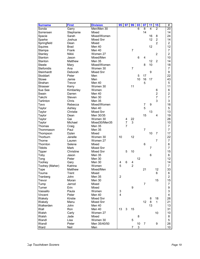| <b>Surname</b>             | <b>First</b> | <b>Division</b> | 95               | 97             | 99             | 03 | 07             | 11             | 15             | #                    |
|----------------------------|--------------|-----------------|------------------|----------------|----------------|----|----------------|----------------|----------------|----------------------|
| Sonda                      | Garry        | Men/Men 30      |                  |                |                | 6  | 8              | 4              | $\overline{2}$ | $\overline{20}$      |
| Sorrensen                  | Stephanie    | Mixed           |                  |                |                |    | 14             |                |                | 14                   |
| Spacie                     | Sarah        | Mixed/Women     |                  |                |                |    |                | 16             | 8              | 24                   |
| Sparke                     | Joshua       | Mixed Snr       |                  |                |                |    |                | 12             | $\overline{c}$ | 14                   |
| Springfield                | Dean         | Mixed           |                  |                |                |    |                |                | $\overline{2}$ | $\overline{c}$       |
| Squires                    | <b>Brad</b>  | Men 40          |                  |                |                |    |                | 12             |                | 12                   |
| Stampa                     | Frank        | Men 40          |                  |                | $\overline{7}$ |    |                |                |                | $\overline{7}$       |
| Stanley                    | Nikki        | Women 27        |                  |                |                |    |                |                | $\overline{c}$ | $\overline{2}$       |
| Stanton                    | Jason        | Mixed/Men       |                  |                |                | 6  | 4              |                |                | 10                   |
| Stanton                    | Matthew      | <b>Men 35</b>   |                  |                |                |    |                | 12             | $\overline{c}$ | 14                   |
| <b>Steele</b>              | Mary         | Mixed/Women     |                  |                |                |    | 8              | 10             |                | 18                   |
| <b>Stefonidis</b>          | Ana          | Women 30        |                  |                | $\overline{7}$ |    |                |                |                | $\overline{7}$       |
| Steinhardt                 | Deborah      | Mixed Snr       |                  |                |                |    |                | 9              |                | 9                    |
| Stoddart                   | Peter        | Men             |                  |                |                | 5  | 17             |                |                | 22                   |
| Stowe                      | Jamie        | Men             |                  |                |                | 10 | 16             | 17             |                | 43                   |
| Strahan                    | Trevor       | Men 40          |                  |                |                |    | 5              |                |                | 5                    |
| Strasser                   | Kerry        | Women 30        |                  |                | 11             |    |                |                |                | 11                   |
| Sue See                    | Kimberley    | Women           |                  |                |                |    |                |                | 6              | 6                    |
| Swain                      | Darren       | Men 40          |                  |                |                |    |                |                | $\overline{c}$ | $\overline{c}$       |
| Takchi                     | Steven       | Men 30          |                  |                |                |    |                |                | $\overline{7}$ | 7                    |
| Tarlinton                  | Chris        | <b>Men 35</b>   |                  |                |                |    |                |                | 3              | 3                    |
| Tavo                       | Rebecca      | Mixed/Women     |                  |                |                |    | 7              | 9              |                | 16                   |
| Taylor                     | Ashley       | Men 40          |                  |                |                |    | 5              |                |                | 5                    |
| Taylor                     | Christie     | Mixed Snr       |                  |                |                |    |                | 13             |                | 13                   |
| Taylor                     | Dean         | Men 30/35       |                  |                |                |    | 15             |                | 4              | 19                   |
| Taylor                     | Gai          | Women 30        |                  | 4              | 22             |    |                |                |                | 26                   |
| Taylor                     | Michael      | Mixed30/Men35   |                  | $\overline{7}$ | 3              |    |                |                |                | 10                   |
| Thomas                     | Craig        | Men 35          |                  | $\overline{7}$ |                |    |                |                |                | 7                    |
| Thommason                  | Paul         | <b>Men 35</b>   |                  |                |                |    | $\overline{7}$ |                |                | 7                    |
| Thompson                   | Dylan        | Mixed           |                  |                |                |    |                | 10             | 7              | 17                   |
| Thorburn                   | Janelle      | Women 30        | 10               |                | 12             |    |                |                |                | 22                   |
| Thorne                     | Lauren       | Women 27        |                  |                |                |    |                |                | 7              | $\overline{7}$       |
|                            | Selene       | Mixed           |                  |                |                |    | 6              |                |                |                      |
| Thornton<br><b>Tibbits</b> | <b>Mark</b>  | Mixed Snr       |                  |                |                |    |                | $\overline{7}$ |                | 6<br>7               |
|                            |              | Mixed Snr       |                  |                |                |    |                |                |                |                      |
| Tipper                     | Christine    |                 |                  | 5              | 10             |    |                |                |                | 15                   |
| Toby                       | Jason        | Men 35          |                  |                |                | 12 |                | 6              |                | 6<br>12              |
| Tong                       | Peter        | Men 30          |                  |                |                |    |                |                |                |                      |
| Toohey                     | Gary         | Men 30          | 4                | 6              | 4              |    |                |                |                | 14                   |
| Toohey (Maher)             | Katrina      | Women           | 5                |                | $\overline{c}$ |    |                |                |                | $\overline{7}$<br>33 |
| Tope                       | Matthew      | Mixed/Men       |                  |                |                |    | 21             |                | 12             |                      |
| Touma                      | Trent        | Mixed           |                  |                |                |    |                |                | 6              | 6                    |
| Tranberg                   | John         | Men 35          | $\boldsymbol{2}$ |                |                |    |                |                |                | 2                    |
| Trevor                     | Moran        | Men 30          |                  |                |                |    |                |                | 15             | 15                   |
| Tump                       | Jarrod       | Mixed           |                  |                |                |    | $\overline{7}$ |                |                | 7                    |
| Turner                     | Erin         | Mixed           |                  |                | 9              |    |                |                |                | 9                    |
| Vassallo                   | Paula        | Women           | 3                |                |                |    |                |                |                | 3                    |
| Vincent                    | Peter        | Men 40          | 4                |                |                |    |                |                |                | 4                    |
| Wakely                     | Kirstie      | Mixed Snr       |                  |                |                |    |                | 8              | 18             | 26                   |
| Wakely                     | Manu         | Mixed Snr       |                  |                |                |    | 12             | 8              | $\mathbf{1}$   | 21                   |
| Walkerden                  | John         | Men 40          |                  |                |                |    |                | 13             |                | 13                   |
| Wall                       | Ron          | Men 40          | 13               | 3              | 15             |    |                |                |                | 31                   |
| Walsh                      | Carly        | Women 27        |                  |                |                |    |                |                | 10             | 10                   |
| Walsh                      | Jade         | Mixed           |                  |                |                | 8  |                |                |                | 8                    |
| Wandl                      | Lisa         | Women 30        |                  |                | 5              |    |                |                |                | 5                    |
| Wandl                      | Peter        | Men 35/40/50    |                  |                |                | 10 | $\overline{7}$ |                | 9              | 26                   |
| Ward                       | Neil         | Men             |                  |                | 7              | 3  |                |                |                | 10 <sup>°</sup>      |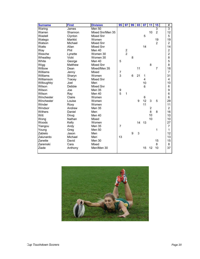| <b>Surname</b> | <b>First</b> | <b>Division</b>  | 95             | 97            | 99 | 03 | 07             | 11             | 15             | #              |
|----------------|--------------|------------------|----------------|---------------|----|----|----------------|----------------|----------------|----------------|
| Waring         | James        | Men 50           |                |               |    |    |                |                | $\overline{3}$ | $\overline{3}$ |
| Warren         | Shannon      | Mixed Snr/Men 35 |                |               |    |    |                | 10             | $\overline{2}$ | 12             |
| Wastell        | Clynton      | <b>Mixed Snr</b> |                |               |    |    | 5              |                |                | 5              |
| Watego         | Marikki      | Women            |                |               |    |    |                |                | 19             | 19             |
| Watson         | Michael      | <b>Mixed Snr</b> |                |               |    |    |                |                | $\overline{2}$ | $\overline{2}$ |
| Watts          | Allan        | Mixed Snr        |                |               |    |    | 14             |                |                | 14             |
| Way            | Phil         | Men 40           |                | $\frac{2}{2}$ |    |    |                |                |                | $\overline{a}$ |
| Wesche         | Lynette      | Women 30         |                |               |    |    |                |                |                | $\overline{2}$ |
| Wheatley       | Vicki        | Women 30         |                |               | 8  |    |                |                |                | 8              |
| White          | George       | Men 40           | 5              |               |    |    |                |                |                | 5              |
| Wigg           | Matthew      | Mixed Snr        |                |               |    |    |                | 8              |                | 8              |
| Wilbow         | Dean         | Mixed/Men 35     |                |               |    | 11 |                |                | $\overline{7}$ | 18             |
| Williams       | Jenny        | Mixed            | 7              |               |    |    |                |                |                | $\overline{7}$ |
| Williams       | Sharyn       | Women            | 3              |               | 6  | 21 | 1              |                |                | 31             |
| Williamson     | Tracey       | Mixed Snr        |                |               |    |    | 4              |                |                | 4              |
| Willoughby     | Joel         | Men              |                |               |    |    | 10             |                |                | 10             |
| Wilson         | Debbie       | <b>Mixed Snr</b> |                |               |    |    | $6\phantom{1}$ |                |                | 6              |
| Wilson         | Joe          | <b>Men 35</b>    | 9              |               |    |    |                |                |                | 9              |
| Wilson         | Ray          | Men 40           | 5              | 1             |    |    |                |                |                | 6              |
| Winchester     | Claire       | Women            |                |               |    |    | 6              |                |                | 6              |
| Winchester     | Louise       | Women            |                |               |    | 9  | 12             | 3              | 5              | 29             |
| Winder         | Roxy         | Women            |                |               |    |    | 11             |                |                | 11             |
| Windsor        | Andrew       | <b>Men 35</b>    |                |               |    |    |                | $\overline{2}$ |                | $\overline{2}$ |
| Withers        | Daniel       | Men              |                |               |    |    |                | 8              | 8              | 16             |
| Witt           | Doug         | Men 40           |                |               |    |    |                | 10             |                | 10             |
| Wong           | Nathan       | Mixed            |                |               |    |    |                | 10             |                | 10             |
| Woods          | Kelly        | Women            |                |               |    | 14 | 13             |                |                | 27             |
| Yiangou        | Andy         | <b>Men 35</b>    | $\overline{7}$ |               |    |    |                |                |                | $\overline{7}$ |
| Young          | Greg         | Men 50           |                |               |    |    |                |                | 1              | 1              |
| Zabielo        | Jason        | Men              |                |               | 9  | 3  |                |                |                | 12             |
| Zalunardo      | Michael      | Men              | 13             |               |    |    |                |                |                | 13             |
| Zanette        | David        | Men 30           |                |               |    |    |                |                | 15             | 15             |
| Zaremski       | Cara         | Mixed            |                |               |    |    |                |                | 8              | 8              |
| Ziade          | Anthony      | Men/Men 30       |                |               |    |    | 15             | 12             | 10             | 37             |
|                |              |                  |                |               |    |    |                |                |                |                |

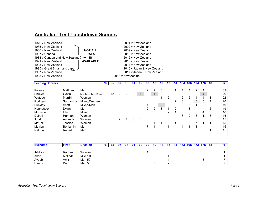## **Australia - Test Touchdown Scorers**

| 1976 v New Zealand             |                  | 2001 v New Zealand         |
|--------------------------------|------------------|----------------------------|
| 1985 v New Zealand             |                  | 2002 v New Zealand         |
| 1986 v New Zealand             | <b>NOT ALL</b>   | 2009 v New Zealand         |
| 1987 y Canada                  | <b>DATA</b>      | 2010 v New Zealand         |
| 1988 v Canada and New Zealand  | IS               | 2012 v New Zealand         |
| 1991 v New Zealand             | <b>AVAILABLE</b> | 2013 v New Zealand         |
| 1993 v New Zealand             |                  | 2014 v New Zealand         |
| 1995 v Great Britain and Japan |                  | 2016 v Japan & New Zealand |
| 1997 v New Zealand             |                  | 2017 v Japan & New Zealand |
| 1998 v New Zealand             |                  | 2018 v New Zealnd          |

| <b>Leading Scorers</b> |             |                  | 76 | 95 | 97 |   | 98 01 | 02 |   | 09 10     | 12 <sup>1</sup> |   |   | 13   14   16J   16N   17J   17N   18 |                |   |   |   | #  |
|------------------------|-------------|------------------|----|----|----|---|-------|----|---|-----------|-----------------|---|---|--------------------------------------|----------------|---|---|---|----|
|                        |             |                  |    |    |    |   |       |    |   |           |                 |   |   |                                      |                |   |   |   |    |
| Prowse                 | Matthew     | Men              |    |    |    |   |       |    | 2 |           | 8               |   |   | 4                                    | 4              | 2 | 4 |   | 32 |
| Shuker                 | Gavin       | Mix/Men/Men30/40 |    | 13 | 2  | 2 | 3     |    |   | $\vert$ 1 |                 | 3 |   |                                      |                |   | 4 |   | 29 |
| Watego                 | Marriki     | Women            |    |    |    |   |       |    |   |           |                 | 2 |   | $\overline{2}$                       | 6              | 4 | 4 | 3 | 22 |
| Rodgers                | Samantha    | Mixed/Women      |    |    |    |   |       |    |   |           |                 |   | 2 | 6                                    |                | 3 | 5 | 4 | 20 |
| <b>Buckley</b>         | Scott       | Mixed/Men        |    |    |    |   |       |    |   |           | $\overline{2}$  |   | 3 | 2                                    | 5              |   | 2 | 3 | 19 |
| Hennessey              | Dylan       | Men              |    |    |    |   |       |    | 2 | 2         | 3               |   | 2 |                                      | 3              |   |   | 6 | 19 |
| Mortimer               | <b>Elin</b> | Mixed            |    |    |    |   |       |    |   |           |                 | 2 | 4 |                                      | 3              |   | 4 | 3 | 16 |
| <b>Dyball</b>          | Hannah      | Women            |    |    |    |   |       |    |   |           |                 |   |   | 6                                    | $\mathfrak{p}$ | 3 |   | 3 | 15 |
| Judd                   | Amanda      | Women            |    |    | 2  | 4 | 3     | 6  |   |           |                 |   |   |                                      |                |   |   |   | 15 |
| <b>McCall</b>          | Jessica     | Women            |    |    |    |   |       |    |   |           |                 | 3 |   |                                      |                |   |   |   | 15 |
| Moylan                 | Benjamin    | Men              |    |    |    |   |       |    |   |           |                 |   |   | 4                                    |                |   |   |   | 15 |
| Nakhla                 | Robert      | Men              |    |    |    |   |       |    | 2 |           | 3               | 3 | 3 |                                      | 3              |   |   |   | 15 |
|                        |             |                  |    |    |    |   |       |    |   |           |                 |   |   |                                      |                |   |   |   |    |

| <b>Surname</b> | <b>First</b> | <b>Division</b> | 75 | - 97 | -98 |  | 09 | 12 | 13. |  |  | <u>  16J   16N   17J   17N   18</u> |  |  |
|----------------|--------------|-----------------|----|------|-----|--|----|----|-----|--|--|-------------------------------------|--|--|
|                |              |                 |    |      |     |  |    |    |     |  |  |                                     |  |  |
| Addison        | Rachael      | Women           |    |      |     |  |    |    |     |  |  |                                     |  |  |
| Allen          | Melinda      | Mixed 30        |    |      |     |  |    |    |     |  |  |                                     |  |  |
| Ayoub          | Amir         | Men 50          |    |      |     |  |    |    |     |  |  |                                     |  |  |
| <b>Baartz</b>  | Don          | Men 50          |    |      |     |  |    |    |     |  |  |                                     |  |  |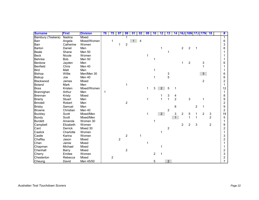| <b>Surname</b>    | <b>First</b> | <b>Division</b> | 76 | 75         | 97             | 98             | 01           | 02 | 09          | 10 | 12             | 13                      | 14             |                |                  |                | 16J 16N 17J 17N | $\overline{18}$ | #              |
|-------------------|--------------|-----------------|----|------------|----------------|----------------|--------------|----|-------------|----|----------------|-------------------------|----------------|----------------|------------------|----------------|-----------------|-----------------|----------------|
| Bambury (Teskera) | Nadina       | Mixed           |    |            |                |                |              |    |             |    |                |                         |                |                |                  |                |                 |                 | $\mathbf 1$    |
| Barr              | Angela       | Mixed/Women     |    | 1          |                |                | $\mathbf{1}$ | 4  |             |    |                |                         |                |                |                  |                |                 |                 | 6              |
| Barr              | Catherine    | Women           |    |            | 1              | $\overline{c}$ |              |    |             |    |                |                         |                |                |                  |                |                 |                 | 3              |
| Barton            | Daniel       | Men             |    |            |                |                |              |    |             |    |                |                         |                | $\overline{c}$ | $\overline{c}$   |                |                 |                 | 6              |
| <b>Beale</b>      | Shane        | Men 50          |    |            |                |                |              |    |             |    |                |                         |                |                |                  |                |                 |                 |                |
| <b>Beck</b>       | Nicole       | Women           |    |            |                |                |              |    | 1           |    |                |                         |                |                |                  |                |                 |                 |                |
| <b>Behnke</b>     | Bob          | Men 50          |    |            |                |                |              |    |             |    |                |                         |                |                |                  |                |                 |                 |                |
| Benbow            | Jayden       | Men             |    |            |                |                |              |    |             |    |                |                         |                | 1              | $\boldsymbol{2}$ |                | 3               |                 | 6              |
| Benfield          | Chris        | Men 40          |    |            |                |                |              |    |             |    |                |                         |                |                |                  |                |                 |                 |                |
| <b>Bird</b>       | Matt         | Men             |    |            |                |                |              |    |             |    |                |                         |                |                |                  |                |                 |                 |                |
| <b>Bishop</b>     | Willie       | Men/Men 30      |    |            |                |                |              |    |             |    |                | 3                       |                |                |                  |                | 3 <sup>1</sup>  |                 | 6              |
| <b>Biskup</b>     | Joe          | Men 40          |    |            |                |                |              |    |             |    |                | 5                       |                |                |                  |                |                 |                 | 6              |
| Blackwood         | James        | Mixed           |    |            |                |                |              |    |             |    |                |                         |                |                |                  |                | $\overline{2}$  |                 | 2              |
| <b>Boland</b>     | Mark         | Men             |    |            |                | 1              |              |    |             |    |                |                         |                |                |                  |                |                 |                 | 1              |
| <b>Boss</b>       | Kristen      | Mixed/Women     |    |            |                |                |              |    | 1           | 3  | $2^{\circ}$    | 5                       | 1              |                |                  |                |                 |                 | 12             |
| Brannighan        | Arthur       | Men             | 1  |            |                |                |              |    |             |    |                |                         |                |                |                  |                |                 |                 |                |
| <b>Brennan</b>    | Kristy       | Mixed           |    |            |                |                |              |    |             |    |                | 3                       | 4              |                |                  |                |                 |                 | 8              |
| <b>Brierty</b>    | Stuart       | Men             |    |            |                |                |              |    | 1           |    | 1              | $\mathbf 1$             | $\overline{2}$ |                | 3                |                | 1               |                 | 9              |
| <b>Brindell</b>   | Robert       | Men             |    |            |                | $\overline{c}$ |              |    |             |    |                |                         |                |                |                  |                |                 |                 | $\overline{c}$ |
| <b>Brisby</b>     | Samuel       | Men             |    |            |                |                |              |    |             |    |                |                         | 6              |                |                  | $\overline{c}$ | 1               |                 | 9              |
| <b>Browne</b>     | Christian    | Men 40          |    |            |                |                |              |    |             |    |                | $\overline{\mathbf{c}}$ |                |                |                  |                |                 |                 | $\overline{c}$ |
| <b>Buckley</b>    | Scott        | Mixed/Men       |    |            |                |                |              |    | $\mathbf 1$ |    | 2 <sup>7</sup> |                         | 3              | $\overline{c}$ | 5                |                | $\overline{c}$  | 3               | 19             |
| <b>Bundy</b>      | Scott        | Mixed/Men       |    |            |                |                |              |    |             |    |                |                         | $\overline{1}$ |                | 1                | 1              |                 | $\overline{2}$  | 5              |
| <b>Burdett</b>    | Amanda       | Women 30        |    |            |                |                |              |    |             |    |                |                         |                |                |                  |                |                 |                 | 1              |
| Campbell          | Elizabeth    | Women           |    |            |                |                |              |    |             |    |                |                         |                | $\overline{2}$ | $\overline{c}$   | 3              |                 | $\overline{2}$  | 9              |
| Cant              | Derrick      | Mixed 30        |    |            |                |                |              |    |             |    |                | $\overline{\mathbf{c}}$ |                |                |                  |                |                 |                 | 2              |
| Caslick           | Charlotte    | Women           |    |            |                |                |              |    |             |    | 1              |                         |                |                |                  |                |                 |                 |                |
| Castle            | Karina       | Women           |    |            |                | $\overline{c}$ |              | 1  |             |    |                |                         |                |                |                  |                |                 |                 | 3              |
| Chaffey           | Jason        | Mixed           |    |            | $\overline{c}$ |                |              |    |             |    |                |                         |                |                |                  |                |                 |                 | 2              |
| Chan              | Jamie        | Mixed           |    |            |                |                |              |    |             |    |                |                         |                |                |                  |                |                 |                 |                |
| Chapman           | Michael      | Mixed           |    |            |                |                |              |    |             |    |                |                         |                |                |                  |                |                 |                 |                |
| Chenhall          | Barry        | Mixed           |    |            |                | $\overline{c}$ |              |    |             |    |                |                         |                |                |                  |                |                 |                 | 2              |
| Cherry            | Emilee       | Women           |    |            |                |                |              |    |             | 2  |                |                         |                |                |                  |                |                 |                 | 3              |
| Chesterton        | Rebecca      | Mixed           |    | $\sqrt{2}$ |                |                |              |    |             |    |                |                         |                |                |                  |                |                 |                 | 2              |
| Cheung            | David        | Men 45/50       |    |            |                |                |              |    |             | 5  |                | $\overline{2}$          |                |                |                  |                |                 |                 | $\overline{7}$ |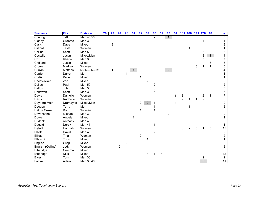| <b>Surname</b>    | <b>First</b> | <b>Division</b> | 76 | 75 | 97             | 98 | $\overline{01}$ | 02             | 09             | 10               | 12 | 13             | 14 | <b>16J 16N 17J 17N</b> |                |   |                | 18           | #                       |
|-------------------|--------------|-----------------|----|----|----------------|----|-----------------|----------------|----------------|------------------|----|----------------|----|------------------------|----------------|---|----------------|--------------|-------------------------|
| Cheung            | Jeff         | Men 45/50       |    |    |                |    |                 |                |                | $\overline{2}$   |    | $\mathbf{1}$   |    |                        |                |   |                |              | $\overline{3}$          |
| Clancy            | Graeme       | Men 30          |    |    |                |    |                 |                |                |                  |    |                |    |                        |                |   | 4              |              | 4                       |
| Clark             | Dave         | Mixed           |    | 3  |                |    |                 |                |                |                  |    |                |    |                        |                |   |                |              | 3                       |
| Clifford          | Tayla        | Women           |    |    |                |    |                 |                |                |                  |    |                |    |                        | 1              |   |                |              |                         |
| Collins           | Scott        | Men 50          |    |    |                |    |                 |                |                |                  |    |                |    |                        |                |   | 3              |              | 3                       |
| Costello          | Justin       | Mixed/Men       |    |    |                |    |                 |                |                |                  |    |                |    |                        |                |   | 3              | 1            | 4                       |
| Cox               | Khanui       | Men 30          |    |    |                |    |                 |                |                |                  |    |                |    |                        |                |   | $\overline{7}$ |              | $\overline{7}$          |
| Cridland          | Justin       | Mixed           |    |    |                |    |                 |                |                |                  |    |                |    |                        |                |   |                | 3            | 3                       |
| Crowe             | Madison      | Women           |    |    |                |    |                 |                |                |                  |    |                |    |                        |                | 3 |                | $\mathbf{1}$ | 5                       |
| Curran            | Matthew      | Mix/Men/Men30   |    | 1  |                |    | $\mathbf{1}$    |                |                |                  |    | 2 <sup>7</sup> |    |                        |                |   |                |              | 4                       |
| Currie            | Darren       | Men             |    |    |                | 1  |                 |                |                |                  |    |                |    |                        |                |   |                |              |                         |
| Curtis            | Katie        | Mixed           |    |    |                |    |                 |                |                |                  |    |                |    |                        |                |   |                |              |                         |
| Dacey-Aiken       | Zoe          | Mixed           |    |    |                |    |                 |                | $\overline{c}$ |                  |    |                |    |                        |                |   |                |              | 2                       |
| <b>Dallas</b>     | Paul         | Men 50          |    |    |                |    |                 |                |                | $\boldsymbol{2}$ |    |                |    |                        |                |   |                |              | $\overline{\mathbf{c}}$ |
| Dalton            | John         | Men 30          |    |    |                |    |                 |                |                | 3                |    |                |    |                        |                |   |                |              | 3                       |
| Danswan           | Scott        | Men 30          |    |    |                |    |                 |                |                | 5                |    |                |    |                        |                |   |                |              | 5                       |
| Davis             | Danielle     | Women           |    |    |                |    |                 |                |                |                  |    |                | 1  | 3                      |                |   | $\overline{c}$ | 1            | $\overline{7}$          |
| Davis             | Rachelle     | Women           |    |    |                |    |                 |                |                |                  |    |                |    | $\overline{2}$         | 1              | 1 | $\overline{2}$ |              | 6                       |
| Dayberg-Muir      | Dramayne     | Mixed/Men       |    |    |                |    |                 | 2              | $\overline{2}$ |                  |    |                | 4  |                        |                |   |                |              | 9                       |
| Deegan            | <b>Terry</b> | Men             |    |    |                |    |                 |                |                |                  |    |                |    |                        | 1              |   |                |              | $\overline{c}$          |
| Del La Cruze      | Bo           | Women           |    |    |                |    |                 | 1              | 3              | 1                |    |                |    |                        |                |   |                |              | 5                       |
| Devonshire        | Michael      | Men 30          |    |    |                |    |                 |                |                |                  |    | $\overline{c}$ |    |                        |                |   |                |              | $\overline{c}$          |
| Doyle             | Angela       | Mixed           |    |    |                |    | 1               |                |                |                  |    |                |    |                        |                |   |                |              |                         |
| <b>Dudeck</b>     | Anthony      | Men 40          |    |    |                |    |                 |                |                | 3                |    |                |    |                        |                |   |                |              | 3                       |
| Duguid            | Derek        | Men 45          |    |    |                |    |                 |                |                | 1                |    |                |    |                        |                |   |                |              |                         |
| <b>Dyball</b>     | Hannah       | Women           |    |    |                |    |                 |                |                |                  |    |                |    | 6                      | $\overline{2}$ | 3 |                | 3            | 15                      |
| Elliott           | David        | Men 45          |    |    |                |    |                 |                |                | $\overline{c}$   |    |                |    |                        |                |   |                |              | $\overline{c}$          |
| Elliott           | Tina         | Women           |    |    |                |    |                 | $\overline{c}$ |                |                  |    |                |    |                        |                |   |                |              | $\overline{c}$          |
| Eltakchi          | Tony         | Mixed           |    |    |                |    |                 |                | 1              |                  |    |                |    |                        |                |   |                |              |                         |
| English           | Greg         | Mixed           |    |    |                | 2  |                 |                |                |                  |    |                |    |                        |                |   |                |              | 2                       |
| English (Collins) | Jody         | Women           |    |    | $\overline{c}$ |    |                 |                |                |                  |    |                |    |                        |                |   |                |              | $\boldsymbol{2}$        |
| Etheridge         | Gemma        | Mixed           |    |    |                |    |                 |                |                |                  | 3  |                |    |                        |                |   |                |              | 3                       |
| Etheridge         | Nikki        | Mixed           |    |    |                |    |                 |                | 3              |                  | 8  |                |    |                        |                |   |                |              | 12                      |
| Eyles             | Tom          | Men 30          |    |    |                |    |                 |                |                |                  |    |                |    |                        |                |   | $\overline{c}$ |              | 2                       |
| Fahim             | Adam         | Men 30/40       |    |    |                |    |                 |                |                | 8                |    |                |    |                        |                |   | $\overline{3}$ |              | 11                      |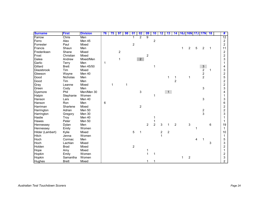| <b>Surname</b>   | <b>First</b> | <b>Division</b> | 76 | 75 | 97             | 98 | 01                      | 02             | 09             | 10             | 12                      | 13               | 14             |   |                |   | <b>16J 16N 17J 17N</b> | 18           | #                       |
|------------------|--------------|-----------------|----|----|----------------|----|-------------------------|----------------|----------------|----------------|-------------------------|------------------|----------------|---|----------------|---|------------------------|--------------|-------------------------|
| Farrow           | Chris        | Men             |    |    |                |    | 1                       | $\overline{2}$ | 9              |                |                         |                  |                |   |                |   |                        |              | 12                      |
| Ferro            | Alex         | Men 45          |    |    |                |    |                         |                |                | $\overline{c}$ |                         |                  |                |   |                |   |                        |              | $\overline{\mathbf{c}}$ |
| Forrester        | Paul         | Mixed           |    |    |                |    | $\overline{\mathbf{c}}$ |                |                |                |                         |                  |                |   |                |   |                        |              | $\overline{c}$          |
| Francis          | Shaun        | Men             |    |    |                |    |                         |                |                |                |                         |                  |                | 1 | 2              | 5 | $\overline{c}$         | 1            | 11                      |
| Frederiksen      | Shane        | Mixed           |    |    | $\overline{c}$ |    |                         |                |                |                |                         |                  |                |   |                |   |                        |              | $\overline{\mathbf{c}}$ |
| Frost            | Christian    | Mixed           |    |    |                |    |                         |                | $\overline{c}$ |                |                         |                  |                |   |                |   |                        |              | $\overline{c}$          |
| Galea            | Andrew       | Mixed/Men       |    |    |                |    |                         | 2 <sup>7</sup> |                |                |                         |                  |                |   |                |   |                        |              | 3                       |
| Garlic           | Terry        | Men             | 1  |    |                |    |                         |                |                |                |                         |                  |                |   |                |   |                        |              |                         |
| Gillard          | <b>Brett</b> | Men 45/50       |    |    |                |    |                         |                |                | 1              |                         |                  |                |   |                |   | $\mathbf{3}$           |              | 4                       |
| Glazebrook       | Tim          | Mixed           |    |    |                |    |                         |                |                |                |                         |                  |                |   |                |   | $\overline{2}$         | $\mathbf{1}$ | 3                       |
| Gleeson          | Wayne        | Men 40          |    |    |                |    |                         |                |                |                |                         |                  |                |   |                |   | $\overline{c}$         |              | $\overline{c}$          |
| Good             | Nicholas     | Men             |    |    |                |    |                         |                |                |                |                         | 1                | 1              |   | $\mathbf{1}$   |   | $\overline{2}$         |              | 5                       |
| Good             | Tim          | Men             |    |    |                |    |                         |                |                |                |                         |                  | $\overline{c}$ |   |                |   |                        |              | $\overline{\mathbf{c}}$ |
| Gray             | Leanne       | Mixed           |    | 1  |                | 1  |                         |                |                |                |                         |                  |                |   |                |   |                        |              | $\overline{\mathbf{c}}$ |
| Green            | Cody         | Men             |    |    |                |    |                         |                |                |                |                         |                  |                |   |                |   | 3                      |              | 3                       |
| Gyemore          | Phil         | Men/Men 30      |    |    |                |    |                         | 3              |                |                |                         | 1                |                |   |                |   |                        |              | 4                       |
| Halpin           | Stephanie    | Women           |    |    |                |    |                         |                |                | 1              |                         |                  |                |   |                |   |                        |              |                         |
| Hanson           | Lars         | Men 40          |    |    |                |    |                         |                |                |                |                         |                  |                |   |                |   | 3                      |              | 3                       |
| Hanson           | Ron          | Men             | 6  |    |                |    |                         |                |                |                |                         |                  |                |   |                |   |                        |              | 6                       |
| Harriman         | Sharlene     | Mixed           |    |    |                |    |                         | $\overline{c}$ |                |                |                         |                  |                |   |                |   |                        |              | 2                       |
| Harrington       | Adrian       | Men 50          |    |    |                |    |                         |                |                |                |                         |                  |                |   |                |   | $\frac{2}{3}$          |              | $\overline{c}$          |
| Harrington       | Gregory      | Men 30          |    |    |                |    |                         |                |                |                |                         |                  |                |   |                |   |                        |              | 3                       |
| Hastie           | <b>Troy</b>  | Men 40          |    |    |                |    |                         |                |                |                |                         |                  |                |   |                |   |                        |              |                         |
| Hawes            | Peter        | Men 50          |    |    |                |    |                         |                |                |                |                         |                  |                |   |                |   |                        |              |                         |
| Hennessey        | Dylan        | Men             |    |    |                |    |                         |                | $\overline{2}$ | $\overline{2}$ | 3                       | 1                | $\overline{2}$ |   | 3              |   |                        | 6            | 19                      |
| Hennessey        | Emily        | Women           |    |    |                |    |                         |                |                |                |                         |                  |                |   |                |   |                        |              |                         |
| Hilder (Lambert) | Kylie        | Mixed           |    |    |                |    | $\sqrt{5}$              |                |                |                | $\overline{\mathbf{c}}$ | $\boldsymbol{2}$ |                |   |                |   |                        |              | 10                      |
| <b>Hitch</b>     | Jenna        | Women           |    |    |                |    |                         |                |                |                |                         |                  |                |   |                |   |                        |              |                         |
| Hoch             | Cormac       | Men             |    |    |                |    |                         |                |                |                |                         |                  |                |   |                | 4 |                        |              | 5                       |
| Hoch             | Lachlan      | Mixed           |    |    |                |    |                         |                |                |                |                         |                  |                |   |                |   |                        | 3            | 3                       |
| Holden           | <b>Brad</b>  | Mixed           |    |    |                |    | $\sqrt{2}$              |                |                |                |                         |                  |                |   |                |   |                        |              | $\overline{\mathbf{c}}$ |
| Hope             | Amy          | Mixed           |    |    |                |    |                         |                |                |                |                         |                  |                |   |                |   |                        |              |                         |
| Hopkin           | Emily        | Women           |    |    |                |    |                         |                | 1              |                |                         |                  |                |   |                |   |                        |              | $\overline{c}$          |
| Hopkin           | Samantha     | Women           |    |    |                |    |                         |                |                |                |                         |                  |                |   | $\overline{c}$ |   |                        |              | 3                       |
| <b>Hughes</b>    | <b>Brett</b> | Mixed           |    |    |                |    |                         |                |                |                |                         |                  |                |   |                |   |                        |              | $\overline{2}$          |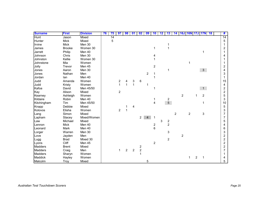| <b>Surname</b> | <b>First</b>  | <b>Division</b> | 76 | 75 | 97                      | 98             | 01             | 02                      | 09             | 10                                    | 12 | 13                      | 14             | <b>16J 16N 17J</b>      |                |                | 17N            | 18 | #                       |
|----------------|---------------|-----------------|----|----|-------------------------|----------------|----------------|-------------------------|----------------|---------------------------------------|----|-------------------------|----------------|-------------------------|----------------|----------------|----------------|----|-------------------------|
| <b>Hunt</b>    | Jason         | Mixed           |    | 14 |                         |                |                |                         |                |                                       |    |                         |                |                         |                |                |                |    | $\overline{14}$         |
| Hunter         | <b>Mick</b>   | Mixed           |    | 5  |                         |                |                |                         |                |                                       |    |                         |                |                         |                |                |                |    | 5                       |
| Irvine         | <b>Mick</b>   | Men 30          |    |    |                         |                |                |                         |                |                                       |    | 1                       |                |                         |                |                |                |    |                         |
| James          | <b>Brooke</b> | Women 30        |    |    |                         |                |                |                         |                | 1                                     |    | 1                       |                |                         |                |                |                |    | 2                       |
| Jarrett        | Philip        | Men 40          |    |    |                         |                |                |                         |                |                                       |    |                         |                |                         |                |                | 1              |    |                         |
| Johnson        | Chris         | Men 30          |    |    |                         |                |                |                         |                | Λ                                     |    |                         |                |                         |                |                |                |    | 4                       |
| Johnston       | Kellie        | Women 30        |    |    |                         |                |                |                         |                |                                       |    |                         |                |                         |                |                |                |    |                         |
| Johnstone      | Mia           | Women           |    |    |                         |                |                |                         |                |                                       |    |                         |                |                         |                |                |                |    |                         |
| Jolly          | Trevor        | Men 45          |    |    |                         |                |                |                         |                | $\overline{c}$                        |    |                         |                |                         |                |                |                |    | 2                       |
| Jones          | Aaron         | Men 30          |    |    |                         |                |                |                         |                |                                       |    | 1                       |                |                         |                |                | 3 <sup>1</sup> |    | 4                       |
| Jones          | Nathan        | Men             |    |    |                         |                |                |                         | $\overline{c}$ |                                       |    |                         |                |                         |                |                |                |    | 3                       |
| Jordan         | lan           | Men 40          |    |    |                         |                |                |                         |                |                                       |    |                         |                |                         |                |                |                |    | 1                       |
| Judd           | Amanda        | Women           |    |    | $\overline{\mathbf{c}}$ | 4              | 3              | 6                       |                |                                       |    |                         |                |                         |                |                |                |    | 15                      |
| Judd           | Kristy        | Women           |    |    | $\overline{1}$          | $\mathbf{1}$   | $\mathbf{1}$   |                         | 1              |                                       |    |                         |                |                         |                |                |                |    | 4                       |
| Kafoa          | David         | Men 45/50       |    |    |                         |                |                |                         |                |                                       |    |                         |                |                         |                |                | 1              |    | $\overline{c}$          |
| Kay            | Alison        | Mixed           |    |    | $\overline{2}$          |                |                |                         |                |                                       |    |                         |                |                         |                |                |                |    | $\overline{c}$          |
| Kearney        | Ashleigh      | Women           |    |    |                         |                |                |                         |                |                                       |    |                         |                | $\overline{c}$          |                |                | $\sqrt{2}$     |    | 5                       |
| Kildaire       | Robin         | Men 40          |    |    |                         |                |                |                         |                | 1                                     |    | 2                       |                |                         |                |                |                |    | 3                       |
| Kitchingham    | Tim           | Men 45/50       |    |    |                         |                |                |                         |                | 4                                     |    | 5 <sup>1</sup>          |                |                         |                |                | 1              |    | 10                      |
| Knapp          | Debbie        | Mixed           |    |    |                         |                | 4              |                         |                |                                       |    |                         |                |                         |                |                |                |    | 5                       |
| Kolovos        | Elisha        | Women           |    |    | $\overline{c}$          | 1              |                |                         |                |                                       |    |                         |                |                         |                |                |                |    | 3                       |
| Lang           | Simon         | Mixed           |    |    |                         |                |                |                         |                |                                       |    |                         | $\overline{c}$ |                         | $\overline{2}$ |                | 3              |    | 7                       |
| Lapham         | Stacey        | Mixed/Women     |    |    |                         |                |                | $\overline{2}$          | $\overline{4}$ | 1                                     |    |                         |                |                         |                |                |                |    | $\overline{7}$          |
| Law            | Michael       | Mixed           |    |    |                         |                |                |                         |                |                                       | 3  | $\overline{\mathbf{c}}$ |                |                         |                |                |                |    | 5                       |
| Lennon         | <b>Mick</b>   | Men 40          |    |    |                         |                |                |                         |                | $\begin{array}{c} 2 \\ 6 \end{array}$ |    | $\overline{2}$          |                |                         |                |                |                |    | 4                       |
| Leonard        | Mark          | Men 40          |    |    |                         |                |                |                         |                |                                       |    |                         |                |                         |                |                |                |    | 6                       |
| Lorger         | Warren        | Men 30          |    |    |                         |                |                |                         |                |                                       |    | 3                       |                |                         |                |                |                |    | 3                       |
| Love           | Jayden        | Men             |    |    |                         |                |                |                         |                |                                       |    |                         |                | $\overline{\mathbf{c}}$ |                |                |                |    | $\overline{\mathbf{c}}$ |
| Lugg           | <b>Brad</b>   | Mixed 30        |    |    |                         |                |                |                         |                |                                       |    | $\overline{c}$          |                |                         |                |                |                |    | $\overline{c}$          |
| Lyons          | Cliff         | Men 45          |    |    |                         |                |                |                         |                | $\sqrt{2}$                            |    |                         |                |                         |                |                |                |    | $\overline{c}$          |
| <b>Madders</b> | <b>Brent</b>  | Mixed           |    |    |                         |                |                | $\overline{\mathbf{c}}$ |                |                                       |    |                         |                |                         |                |                |                |    | $\overline{c}$          |
| <b>Madders</b> | Craig         | Men             |    |    | 1                       | $\overline{c}$ | $\overline{c}$ | $\overline{c}$          |                |                                       |    |                         |                |                         |                |                |                |    | $\overline{7}$          |
| <b>Madders</b> | Sharyn        | Women           |    |    |                         |                |                |                         |                |                                       |    |                         |                |                         |                |                |                |    |                         |
| Maddick        | Hayley        | Women           |    |    |                         |                |                |                         |                |                                       |    |                         |                |                         | $\mathbf 1$    | $\overline{c}$ | 1              |    | 4                       |
| Malcolm        | Troy          | Mixed           |    |    |                         |                |                |                         | 5              |                                       |    |                         |                |                         |                |                |                |    | 5                       |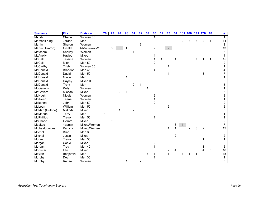| <b>Surname</b>       | <b>First</b>   | <b>Division</b> | 76 | 75             | 97 | 98 | 01             | 02                      | 09 | 10                      | 12 | 13             | 14             | 16J | <b>16N</b>     | 17J | <b>17N</b>     | 18 | #              |
|----------------------|----------------|-----------------|----|----------------|----|----|----------------|-------------------------|----|-------------------------|----|----------------|----------------|-----|----------------|-----|----------------|----|----------------|
| Marsh                | Cherie         | Women 30        |    |                |    |    |                |                         |    |                         |    |                |                |     |                |     |                |    | $\mathbf 1$    |
| <b>Marshall King</b> | Jordan         | Men             |    |                |    |    |                |                         |    |                         |    |                |                | 2   | 3              | 3   | 2              | 4  | 14             |
| Martin               | Sharon         | Women           |    |                |    |    |                | $\overline{\mathbf{c}}$ |    |                         |    |                |                |     |                |     |                |    | $\overline{c}$ |
| Martin (Tirardo)     | Giselle        | Mix/Wom/Wom30   |    | 2              | 3  | 4  |                |                         |    | $\boldsymbol{2}$        |    | 2 <sup>7</sup> |                |     |                |     |                |    | 13             |
| Matcham              | Shelley        | Women           |    |                |    |    |                | $\overline{c}$          |    |                         |    |                |                |     |                |     |                |    | 3              |
| McAnelly             | Hayley         | Mixed           |    |                |    |    |                |                         |    | 4                       |    |                |                |     |                |     |                |    | 4              |
| McCall               | Jessica        | Women           |    |                |    |    |                |                         |    | $\mathbf{1}$            | 1  | 3              |                |     |                | 7   |                | 1  | 15             |
| McCall               | <b>Mick</b>    | Men 50          |    |                |    |    |                |                         |    | $\overline{c}$          |    |                |                |     |                |     |                |    | $\overline{c}$ |
| McCarthy             | Trish          | Women 30        |    |                |    |    |                |                         |    |                         |    | 1              |                |     |                |     |                |    | 1              |
| McDonald             | <b>Brandon</b> | Men 45          |    |                |    |    |                |                         |    | 4                       |    |                |                |     |                |     |                |    | 4              |
| McDonald             | David          | Men 50          |    |                |    |    |                |                         |    |                         |    | 4              |                |     |                |     | 3              |    |                |
| McDonald             | Gavin          | Men             |    |                |    | 1  |                |                         |    |                         |    |                |                |     |                |     |                |    |                |
| McDonald             | Hayley         | Mixed 30        |    |                |    |    |                |                         |    |                         |    | 3              |                |     |                |     |                |    | 3              |
| McDonald             | Trent          | Men             |    |                |    |    | $\overline{2}$ |                         |    |                         |    |                |                |     |                |     |                |    | 3              |
| <b>McGennity</b>     | Kelly          | Women           |    |                |    |    |                |                         | 1  |                         |    |                |                |     |                |     |                |    |                |
| McGovern             | Michael        | Mixed           |    |                | 2  | 1  |                |                         |    |                         |    |                |                |     |                |     |                |    | 3              |
| McHugh               | Nicole         | Women           |    |                |    |    |                |                         |    | $\overline{\mathbf{c}}$ |    |                |                |     |                |     |                |    | 2              |
| Mcilveen             | Teena          | Women           |    |                |    |    |                |                         |    | $\mathbf{1}$            |    |                |                |     |                |     |                |    |                |
| Mckenna              | John           | Men 50          |    |                |    |    |                |                         |    | $\overline{2}$          |    |                |                |     |                |     |                |    | 2              |
| McLean               | William        | <b>Men 50</b>   |    |                |    |    |                |                         |    |                         |    | $\overline{c}$ |                |     |                |     |                |    | 2              |
| McMah (Guthrie)      | Melinda        | Mixed           |    |                | 1  |    | $\overline{c}$ |                         |    |                         |    |                |                |     |                |     |                |    | 3              |
| McMahon              | Terry          | Men             | 1  |                |    |    |                |                         |    |                         |    |                |                |     |                |     |                |    |                |
| <b>McPhillips</b>    | Trevor         | Men 50          |    |                |    |    |                |                         |    | 1                       |    |                |                |     |                |     |                |    |                |
| McShane              | Gerard         | Mixed           |    | $\overline{c}$ |    |    |                |                         |    |                         |    |                |                |     |                |     |                |    | 2              |
| Meakes               | Yasmin         | Mixed/Women     |    |                |    |    |                |                         |    |                         |    |                | 3              | 4   |                |     |                |    | 7              |
| Michealopolous       | Patricia       | Mixed/Women     |    |                |    |    |                |                         |    |                         |    | 4              | $\mathbf 1$    |     | $\overline{2}$ | 3   | $\overline{2}$ |    | 12             |
| Mitchell             | <b>Brad</b>    | Men 30          |    |                |    |    |                |                         |    |                         |    | 3              |                |     |                |     |                |    | 3              |
| Mitchell             | Justin         | Mixed           |    |                |    |    |                |                         |    |                         |    |                | $\overline{c}$ |     |                |     |                |    | 2              |
| Moran                | Trevor         | Men 30          |    |                |    |    |                |                         |    |                         |    |                |                |     |                |     |                |    | 1              |
| Morgan               | Cobie          | Mixed           |    |                |    |    |                |                         |    | $\overline{c}$          |    |                |                |     |                |     |                |    | 2              |
| Morgan               | Troy           | Men 40          |    |                |    |    |                |                         |    |                         |    |                |                |     |                |     |                |    | 2              |
| Mortimer             | Elin           | Mixed           |    |                |    |    |                |                         |    |                         |    | 2              | 4              |     | 3              |     |                | 3  | 16             |
| Moylan               | Benjamin       | Men             |    |                |    |    |                |                         | 7  |                         |    | 1              |                |     | 1              | 1   |                |    | 15             |
| Murphy               | Dean           | Men 30          |    |                |    |    |                |                         |    |                         |    |                |                |     |                |     |                |    |                |
| <b>Murphy</b>        | Renee          | Women           |    |                |    |    |                | 2                       |    |                         |    |                |                |     |                |     |                |    | 3              |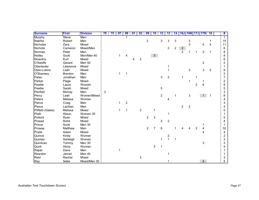| <b>Surname</b>   | <b>First</b>   | <b>Division</b> | 76 | 75 | 97 | 98             | 01 | 02             | 09             | 10             | $12 \ \mathsf{S}$ | 13                      | 14             | 16J            | <b>16N</b>     | <b>17J 17N</b> |                | 18             | #              |
|------------------|----------------|-----------------|----|----|----|----------------|----|----------------|----------------|----------------|-------------------|-------------------------|----------------|----------------|----------------|----------------|----------------|----------------|----------------|
| <b>Murphy</b>    | Steve          | Men             |    |    |    |                |    |                |                |                |                   |                         |                |                |                |                |                |                |                |
| Nakhla           | Robert         | Men             |    |    |    |                |    |                | $\overline{c}$ |                | 3                 | 3                       | 3              |                | 3              |                |                |                | 15             |
| Nicholas         | Zara           | Mixed           |    |    |    |                |    |                |                |                |                   |                         |                |                | 3              |                | 4              | 4              | 11             |
| Nicholls         | Cameron        | Mixed/Men       |    |    |    |                |    |                |                |                |                   | $\overline{c}$          | $\overline{a}$ | $\overline{2}$ |                |                |                |                | 6              |
| Norman           | Peter          | Men             |    |    |    |                |    |                |                |                |                   |                         |                | $\overline{2}$ | 1              |                | 3              | 1              | 8              |
| Notley           | Scott          | Men/Men 40      |    |    | 1  | 4              |    |                |                | 3 <sup>7</sup> |                   |                         |                |                |                |                |                |                | 8              |
| Nowotny          | Kurt           | Mixed           |    |    |    |                |    | $\overline{c}$ |                |                |                   |                         |                |                |                |                |                |                | 6              |
| O'Keeffe         | Gerard         | Men 40          |    |    |    |                |    |                |                |                |                   |                         |                |                |                |                | $\overline{c}$ |                | $\overline{c}$ |
| Oberleuter       | Lawrence       | Mixed           |    |    |    |                |    |                |                |                |                   |                         |                |                |                |                |                |                | 1              |
| Opie-Lukins      | Leah           | Mixed           |    |    |    |                |    |                |                |                |                   |                         |                |                | 3              |                | 3              | $\overline{c}$ | 9              |
| O'Shanesy        | <b>Brenton</b> | Men             |    |    | 1  | $\mathbf 1$    |    |                |                |                |                   |                         |                |                |                |                |                |                | $\overline{c}$ |
| Palau            | Jonathan       | Men             |    |    |    |                |    |                |                |                | $\mathbf{3}$      | $\overline{\mathbf{c}}$ |                | 1              |                |                |                |                | $\overline{7}$ |
| Parker           | Paige          | Mixed           |    |    |    |                |    |                |                |                |                   |                         |                |                | 1              |                |                |                | $\overline{c}$ |
| Peattie          | Laura          | Women           |    |    |    |                |    |                |                |                |                   |                         |                |                |                | $\overline{2}$ | $6\phantom{1}$ |                | 8              |
| Peattie          | Sarah          | Mixed           |    |    |    |                |    |                |                |                | 5                 |                         |                |                |                |                |                |                | 5              |
| Penfold          | Murray         | Men             | 3  |    |    |                |    |                |                |                |                   |                         |                |                |                |                |                |                | 3              |
| Percy            | Leah           | Women/Mixed     |    |    |    |                |    |                |                |                | $\overline{2}$    |                         | 1              |                | 3              |                | 1              | 1              | 8              |
| Peters           | Melissa        | Women           |    |    |    |                |    |                |                |                |                   | 4                       |                |                |                |                |                |                | 4              |
| Pierce           | Craig          | Men             |    |    | 1  | $\overline{c}$ |    |                |                |                |                   |                         |                |                |                |                |                |                | 3              |
| Pierce           | Lachlan        | Men             |    |    |    |                |    |                |                |                |                   |                         |                | $\overline{2}$ | $\overline{c}$ |                |                |                | 4              |
| Pitfield (Galea) | Melissa        | Mixed           |    |    | 1  | 1              |    | $\overline{2}$ |                | 1              |                   |                         |                |                |                |                |                |                | 5              |
| Plath            | Alison         | Women 30        |    |    |    |                |    |                |                |                |                   | 1                       |                |                |                |                |                |                |                |
| Pollock          | Ryan           | Mixed           |    |    |    |                |    |                | $\overline{2}$ | 3              |                   |                         |                |                |                |                |                |                | 5              |
| Prasad           | Rohit          | Mixed           |    |    |    |                |    |                |                |                | $\overline{2}$    | $\overline{2}$          |                |                |                |                |                |                | 4              |
| Prince           | Scott          | Men 30          |    |    |    |                |    |                |                |                |                   |                         |                |                |                |                |                |                |                |
| Prowse           | Matthew        | Men             |    |    |    |                |    |                | $\overline{2}$ | $\overline{7}$ | 8                 |                         |                |                |                | $\overline{c}$ | 4              |                | 32             |
| Pryde            | Adam           | Mixed           |    |    |    |                |    |                |                |                |                   |                         |                |                |                |                | 4              |                | 4              |
| Quince           | Kirsty         | Women           |    |    |    |                |    |                |                |                |                   | 2                       |                |                |                |                |                |                | $\overline{c}$ |
| Quinlan          | Ashleigh       | Women           |    |    |    |                |    |                |                |                |                   | $\overline{1}$          | 1              |                |                |                |                |                | 3              |
| Quinlivan        | Tommy          | Men 30          |    |    |    |                |    |                |                |                |                   |                         |                |                |                |                | 3              |                | 3              |
| Quirk            | Alicia         | Women           |    |    |    |                |    |                |                | 3              |                   |                         |                |                |                |                |                |                | 4              |
| Raper            | Dave           | Men             |    |    |    |                |    |                |                |                |                   |                         |                |                |                |                |                |                |                |
| Reardon          | Jarrad         | Men 40          |    |    |    |                |    |                |                |                |                   | 1                       |                |                |                |                |                |                |                |
| Reid             | Rachel         | Mixed           |    |    |    |                |    | $\mathbf{3}$   |                |                |                   |                         |                |                |                |                |                |                | 3              |
| Rey              | Sebe           | Mixed/Men 30    |    |    |    |                |    |                |                |                |                   |                         |                |                |                |                | $\overline{4}$ |                | 5              |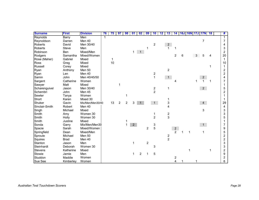| <b>Surname</b> | <b>First</b> | <b>Division</b>  | 76           | 75 | 97             | 98             | $\mathbf{0}$ 1 | 02           | 09             | 10                      | $12 \,$ | 13             | 14             | 16J 16N 17J 17N |                |   |                | 18 | #              |
|----------------|--------------|------------------|--------------|----|----------------|----------------|----------------|--------------|----------------|-------------------------|---------|----------------|----------------|-----------------|----------------|---|----------------|----|----------------|
| Reynolds       | <b>Barry</b> | Men              | $\mathbf{1}$ |    |                |                |                |              |                |                         |         |                |                |                 |                |   |                |    | $\mathbf 1$    |
| Reynoldson     | Darren       | Men 40           |              |    |                |                |                |              |                |                         |         |                |                |                 |                |   | 7              |    | $\overline{7}$ |
| <b>Roberts</b> | David        | Men 30/40        |              |    |                |                |                |              |                | $\overline{c}$          |         | $\overline{2}$ |                |                 |                |   |                |    | 4              |
| <b>Roberts</b> | Steve        | Men              |              |    |                |                |                |              |                |                         |         | 1              |                |                 |                |   |                |    | 3              |
| Robinson       | Ben          | Mixed/Men        |              |    |                |                | 1              | $\mathbf{1}$ |                |                         |         |                |                |                 |                |   |                |    | $\overline{c}$ |
| Rodgers        | Samantha     | Mixed/Women      |              |    |                |                |                |              |                |                         |         |                | 2              | 6               |                | 3 | 5              | 4  | 20             |
| Rose (Maher)   | Gabriel      | Mixed            |              | 1  |                |                |                |              |                |                         |         |                |                |                 |                |   |                |    | 1              |
| Ross           | Greg         | Mixed            |              | 10 |                |                |                |              |                |                         |         |                |                |                 |                |   |                |    | 10             |
| Russell        | Corey        | Mixed            |              |    |                |                |                |              |                |                         |         |                |                |                 |                |   |                |    | 1              |
| Ryan           | Anthony      | Men 50           |              |    |                |                |                |              |                |                         |         | $\overline{2}$ |                |                 |                |   |                |    | $\overline{2}$ |
| Ryan           | Len          | Men 40           |              |    |                |                |                |              |                | $\overline{\mathbf{c}}$ |         |                |                |                 |                |   |                |    | $\overline{c}$ |
| Samin          | John         | Men 40/45/50     |              |    |                |                |                |              |                | $\mathbf{1}$            |         | 1              |                |                 |                |   | $\overline{a}$ |    | 4              |
| Sargent        | Catherine    | Women            |              |    |                |                |                |              |                |                         |         |                |                |                 |                |   |                |    | 7              |
| Sawyer         | Matt         | Mixed            |              |    | 1              |                |                |              |                |                         |         |                |                |                 |                |   |                |    |                |
| Scharenguivel  | Jason        | Men 30/40        |              |    |                |                |                |              |                | $\frac{2}{2}$           |         | 1              |                |                 |                |   | 2 <sup>7</sup> |    | 5              |
| Schembri       | John         | Men 45           |              |    |                |                |                |              |                |                         |         |                |                |                 |                |   |                |    | 2              |
| Sewter         | Tanya        | Women            |              |    |                |                |                |              |                |                         |         |                |                |                 |                |   |                |    |                |
| Short          | Karen        | Mixed 30         |              |    |                |                |                |              |                |                         |         |                |                |                 |                |   |                |    |                |
| Shuker         | Gavin        | Mix/Men/Men30/40 |              | 13 | $\overline{c}$ | $\overline{2}$ | 3              |              |                | 1                       |         | 3              |                |                 |                |   | $\overline{4}$ |    | 29             |
| Sinclair-Smith | Robert       | Men 40           |              |    |                |                |                |              |                |                         |         | 4              |                |                 |                |   |                |    | 4              |
| Singh          | Michael      | Mixed            |              |    |                |                |                |              |                |                         |         |                |                |                 |                |   | 3              |    | 3              |
| Smith          | Amy          | Women 30         |              |    |                |                |                |              |                | 1                       |         | $\frac{2}{3}$  |                |                 |                |   |                |    | 3              |
| Smith          | Holly        | Women 30         |              |    |                |                |                |              |                | $\overline{2}$          |         |                |                |                 |                |   |                |    | 5              |
| Smith          | Justine      | Mixed            |              |    |                |                |                |              |                |                         |         |                |                |                 |                |   |                |    |                |
| Sonda          | Garry        | Mix/Men/Men30    |              |    |                | 1              | $2^{\circ}$    |              |                | 3                       |         |                |                |                 |                |   | 1              |    | $\overline{7}$ |
| Spacie         | Sarah        | Mixed/Women      |              |    |                |                |                |              | $\overline{2}$ | 5                       |         |                | $\overline{c}$ |                 |                |   |                |    | 9              |
| Springfield    | Dean         | Mixed/Men        |              |    |                |                |                |              |                |                         |         |                | $\overline{2}$ |                 | $\overline{1}$ |   |                |    | 5              |
| Sproule        | Michael      | Men 50           |              |    |                |                |                |              |                |                         |         | $\frac{2}{2}$  |                |                 |                |   |                |    | $\overline{c}$ |
| Squires        | <b>Brad</b>  | Men 40           |              |    |                |                |                |              |                |                         |         |                |                |                 |                |   |                |    | $\overline{c}$ |
| Stanton        | Jason        | Men              |              |    |                |                |                |              | $\overline{c}$ |                         |         |                |                |                 |                |   |                |    | 3              |
| Steinhardt     | Deborah      | Women 30         |              |    |                |                |                |              |                | 3                       |         |                |                |                 |                |   |                |    | 3              |
| <b>Stevens</b> | Katherine    | Mixed            |              |    |                |                |                |              |                |                         |         |                |                |                 |                |   |                |    | $\overline{c}$ |
| Stowie         | Jamie        | Men              |              |    |                |                |                | 2            |                | 5                       |         |                |                |                 |                |   |                |    | 9              |
| Studdon        | Maddie       | Women            |              |    |                |                |                |              |                |                         |         |                | 2              |                 |                |   |                |    | 2              |
| Sue See        | Kimberley    | Women            |              |    |                |                |                |              |                |                         |         |                | 4              |                 |                |   |                |    | 6              |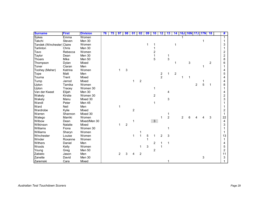| <b>Surname</b>             | <b>First</b> | <b>Division</b> | 76 | 75 | 97             | 98                        | $\mathbf{0}$ 1 | 02             | 09 | 10             | 12             | 13             | 14             |                | 16J 16N 17J |                | <b>17N</b> | 18             | #                       |
|----------------------------|--------------|-----------------|----|----|----------------|---------------------------|----------------|----------------|----|----------------|----------------|----------------|----------------|----------------|-------------|----------------|------------|----------------|-------------------------|
| <b>Sykes</b>               | Emma         | Women           |    |    |                |                           |                |                |    |                |                |                |                |                |             |                |            |                | $\mathbf 1$             |
| Takchi                     | Steven       | <b>Men 30</b>   |    |    |                |                           |                |                |    |                |                |                |                |                |             |                |            |                |                         |
| Tandek (Winchester) Claire |              | Women           |    |    |                |                           |                |                | 1  |                |                |                |                |                |             |                |            |                | 3                       |
| Tarlinton                  | Chris        | <b>Men 30</b>   |    |    |                |                           |                |                |    |                |                |                |                |                |             |                |            |                |                         |
| Tavo                       | Rebecca      | Women           |    |    |                |                           |                |                |    | 2              |                |                |                |                |             |                |            |                | $\overline{\mathbf{c}}$ |
| Taylor                     | Dean         | <b>Men 30</b>   |    |    |                |                           |                |                |    |                |                | 1              |                |                |             |                |            |                | $\overline{c}$          |
| Thoars                     | Mike         | Men 50          |    |    |                |                           |                |                |    | 5              |                | 3              |                |                |             |                |            |                | 8                       |
| Thompson                   | Dylan        | Mixed           |    |    |                |                           |                |                |    |                |                |                |                |                | 3           |                |            | $\overline{c}$ | 6                       |
| Toner                      | Ciaran       | Men             |    |    |                |                           |                |                |    |                |                |                |                |                |             |                | 1          |                |                         |
| Toohey (Maher)             | Katrina      | Women           |    |    | $\mathbf{1}$   | $\ensuremath{\mathsf{3}}$ |                |                |    |                |                |                |                |                |             |                |            |                | 4                       |
| Tope                       | Matt         | Men             |    |    |                |                           |                |                |    |                |                | 1              | $\overline{c}$ |                |             |                |            |                | 5                       |
| Touma                      | Trent        | Mixed           |    |    |                |                           |                |                |    |                | $\frac{2}{2}$  |                |                | 1              |             |                |            |                | 4                       |
| Tump                       | Jarrod       | Mixed           |    |    |                |                           | 1.             | $\overline{c}$ |    |                |                |                |                |                |             |                |            |                | 4                       |
| Upton                      | Tamika       | Women           |    |    |                |                           |                |                |    |                |                |                |                |                |             | $\overline{c}$ | 5          | $\mathbf 1$    | 8                       |
| Upton                      | Tracey       | Women 30        |    |    |                |                           |                |                |    |                |                |                |                |                |             |                |            |                |                         |
| Van der Kwast              | Elijah       | Men 30          |    |    |                |                           |                |                |    |                |                | 4              |                |                |             |                |            |                | 4                       |
| Wakely                     | Kirstie      | Women 30        |    |    |                |                           |                |                |    | $\overline{c}$ |                |                |                |                |             |                |            |                | $\overline{c}$          |
| Wakely                     | Manu         | Mixed 30        |    |    |                |                           |                |                |    |                |                | 3              |                |                |             |                |            |                | 3                       |
| Wandl                      | Peter        | <b>Men 45</b>   |    |    |                |                           |                |                |    |                |                |                |                |                |             |                |            |                |                         |
| Ward                       | Neil         | Men             |    |    |                |                           |                |                |    |                |                |                |                |                |             |                |            |                |                         |
| Wardrobe                   | Kylie        | Mixed           |    |    |                |                           | $\overline{c}$ |                |    |                |                |                |                |                |             |                |            |                | 2                       |
| Warren                     | Shannon      | Mixed 30        |    |    |                |                           |                |                |    |                |                | 1              |                |                |             |                |            |                | 1                       |
| Watego                     | Marriki      | Women           |    |    |                |                           |                |                |    |                | 1              | $\overline{2}$ |                | $\overline{2}$ | 6           |                |            | 3              | 22                      |
| Wilbow                     | Dean         | Mixed/Men 30    |    |    |                |                           |                |                |    | $\mathfrak{S}$ |                |                |                |                |             |                |            |                | 4                       |
| Wilkinson                  | Natalie      | Mixed           |    |    |                | $\overline{c}$            |                |                |    |                |                |                |                |                |             |                |            |                | 3                       |
| Williams                   | Fiona        | Women 30        |    |    |                |                           |                |                |    |                |                |                |                |                |             |                |            |                |                         |
| Williams                   | Sharyn       | Women           |    |    |                |                           |                |                |    |                |                |                |                |                |             |                |            |                |                         |
| Winchester                 | Louise       | Women           |    |    |                |                           |                |                | 5  |                | $\overline{c}$ | 3              |                |                |             |                |            |                | 13                      |
| Winder                     | Roxanne      | Women           |    |    |                |                           |                |                |    |                |                |                |                |                |             |                |            |                |                         |
| Withers                    | Daniel       | Men             |    |    |                |                           |                |                |    | 2              |                | 1              |                |                |             |                |            |                | 4                       |
| Woods                      | Kelly        | Women           |    |    |                |                           |                |                | 3  |                |                |                |                |                |             |                |            |                | 5                       |
| Young                      | Greg         | <b>Men 50</b>   |    |    |                |                           |                |                |    | 2              |                |                |                |                |             |                |            |                | $\overline{\mathbf{c}}$ |
| Zabielo                    | Jason        | Men             |    |    | $\overline{2}$ | 3                         | 4              | $\overline{c}$ |    |                |                |                |                |                |             |                |            |                | 11                      |
| Zanette                    | David        | Men 30          |    |    |                |                           |                |                |    |                |                |                |                |                |             |                | 3          |                | 3                       |
| Zaremski                   | Cara         | Mixed           |    |    |                |                           |                |                |    |                |                |                |                |                |             |                |            |                |                         |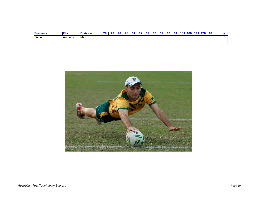| <b>Surname</b><br>⊤nam⊾ | irs     | <b>Nivision</b> | - | ۹s |  |  | ╹┻ |  | <b>16N</b> | <b>U</b> 17J 17N | 18 |  |
|-------------------------|---------|-----------------|---|----|--|--|----|--|------------|------------------|----|--|
| Ziade                   | Anthony | Men             |   |    |  |  |    |  |            |                  |    |  |